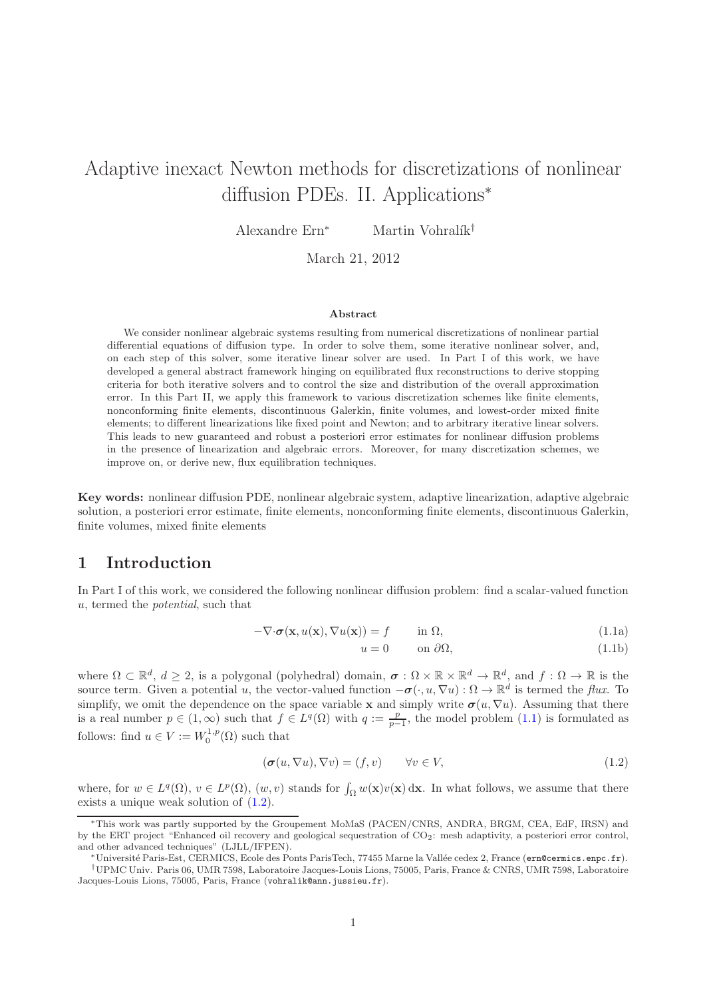# Adaptive inexact Newton methods for discretizations of nonlinear diffusion PDEs. II. Applications<sup>∗</sup>

Alexandre Ern<sup>∗</sup> Martin Vohralík<sup>†</sup>

March 21, 2012

#### Abstract

We consider nonlinear algebraic systems resulting from numerical discretizations of nonlinear partial differential equations of diffusion type. In order to solve them, some iterative nonlinear solver, and, on each step of this solver, some iterative linear solver are used. In Part I of this work, we have developed a general abstract framework hinging on equilibrated flux reconstructions to derive stopping criteria for both iterative solvers and to control the size and distribution of the overall approximation error. In this Part II, we apply this framework to various discretization schemes like finite elements, nonconforming finite elements, discontinuous Galerkin, finite volumes, and lowest-order mixed finite elements; to different linearizations like fixed point and Newton; and to arbitrary iterative linear solvers. This leads to new guaranteed and robust a posteriori error estimates for nonlinear diffusion problems in the presence of linearization and algebraic errors. Moreover, for many discretization schemes, we improve on, or derive new, flux equilibration techniques.

Key words: nonlinear diffusion PDE, nonlinear algebraic system, adaptive linearization, adaptive algebraic solution, a posteriori error estimate, finite elements, nonconforming finite elements, discontinuous Galerkin, finite volumes, mixed finite elements

### 1 Introduction

In Part I of this work, we considered the following nonlinear diffusion problem: find a scalar-valued function u, termed the potential, such that

<span id="page-0-0"></span>
$$
-\nabla \cdot \boldsymbol{\sigma}(\mathbf{x}, u(\mathbf{x}), \nabla u(\mathbf{x})) = f \qquad \text{in } \Omega,
$$
\n(1.1a)

$$
u = 0 \qquad \text{on } \partial \Omega,\tag{1.1b}
$$

where  $\Omega \subset \mathbb{R}^d$ ,  $d \geq 2$ , is a polygonal (polyhedral) domain,  $\sigma : \Omega \times \mathbb{R} \times \mathbb{R}^d \to \mathbb{R}^d$ , and  $f : \Omega \to \mathbb{R}$  is the source term. Given a potential u, the vector-valued function  $-\sigma(\cdot, u, \nabla u)$ :  $\Omega \to \mathbb{R}^d$  is termed the flux. To simplify, we omit the dependence on the space variable x and simply write  $\sigma(u, \nabla u)$ . Assuming that there is a real number  $p \in (1,\infty)$  such that  $f \in L^q(\Omega)$  with  $q := \frac{p}{p-1}$ , the model problem  $(1.1)$  is formulated as follows: find  $u \in V := W_0^{1,p}(\Omega)$  such that

<span id="page-0-1"></span>
$$
(\boldsymbol{\sigma}(u, \nabla u), \nabla v) = (f, v) \qquad \forall v \in V,
$$
\n
$$
(1.2)
$$

where, for  $w \in L^q(\Omega)$ ,  $v \in L^p(\Omega)$ ,  $(w, v)$  stands for  $\int_{\Omega} w(\mathbf{x})v(\mathbf{x}) d\mathbf{x}$ . In what follows, we assume that there exists a unique weak solution of [\(1.2\)](#page-0-1).

<sup>∗</sup>This work was partly supported by the Groupement MoMaS (PACEN/CNRS, ANDRA, BRGM, CEA, EdF, IRSN) and by the ERT project "Enhanced oil recovery and geological sequestration of CO2: mesh adaptivity, a posteriori error control, and other advanced techniques" (LJLL/IFPEN).

Université Paris-Est, CERMICS, Ecole des Ponts ParisTech, 77455 Marne la Vallée cedex 2, France (ern@cermics.enpc.fr).

<sup>†</sup>UPMC Univ. Paris 06, UMR 7598, Laboratoire Jacques-Louis Lions, 75005, Paris, France & CNRS, UMR 7598, Laboratoire Jacques-Louis Lions, 75005, Paris, France (vohralik@ann.jussieu.fr).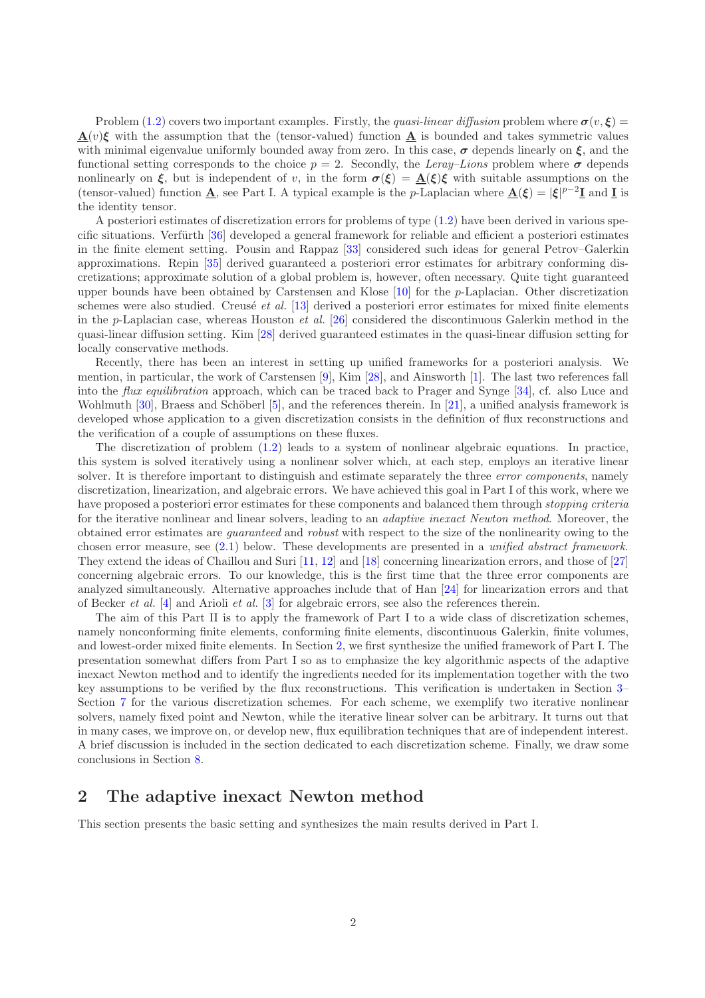Problem [\(1.2\)](#page-0-1) covers two important examples. Firstly, the quasi-linear diffusion problem where  $\sigma(v, \xi)$  $\mathbf{\underline{A}}(v)\boldsymbol{\xi}$  with the assumption that the (tensor-valued) function  $\mathbf{\underline{A}}$  is bounded and takes symmetric values with minimal eigenvalue uniformly bounded away from zero. In this case,  $\sigma$  depends linearly on  $\xi$ , and the functional setting corresponds to the choice  $p = 2$ . Secondly, the Leray–Lions problem where  $\sigma$  depends nonlinearly on  $\xi$ , but is independent of v, in the form  $\sigma(\xi) = A(\xi)\xi$  with suitable assumptions on the (tensor-valued) function  $\underline{\mathbf{A}}$ , see Part I. A typical example is the p-Laplacian where  $\underline{\mathbf{A}}(\xi) = |\xi|^{p-2}\underline{\mathbf{I}}$  and  $\underline{\mathbf{I}}$  is the identity tensor.

A posteriori estimates of discretization errors for problems of type [\(1.2\)](#page-0-1) have been derived in various specific situations. Verfürth  $\left[36\right]$  developed a general framework for reliable and efficient a posteriori estimates in the finite element setting. Pousin and Rappaz [\[33\]](#page-19-1) considered such ideas for general Petrov–Galerkin approximations. Repin [\[35\]](#page-19-2) derived guaranteed a posteriori error estimates for arbitrary conforming discretizations; approximate solution of a global problem is, however, often necessary. Quite tight guaranteed upper bounds have been obtained by Carstensen and Klose [\[10\]](#page-17-0) for the p-Laplacian. Other discretization schemes were also studied. Creusé et al. [\[13\]](#page-18-0) derived a posteriori error estimates for mixed finite elements in the p-Laplacian case, whereas Houston *et al.* [\[26\]](#page-18-1) considered the discontinuous Galerkin method in the quasi-linear diffusion setting. Kim [\[28\]](#page-18-2) derived guaranteed estimates in the quasi-linear diffusion setting for locally conservative methods.

Recently, there has been an interest in setting up unified frameworks for a posteriori analysis. We mention, in particular, the work of Carstensen [\[9\]](#page-17-1), Kim [\[28\]](#page-18-2), and Ainsworth [\[1\]](#page-17-2). The last two references fall into the flux equilibration approach, which can be traced back to Prager and Synge [\[34\]](#page-19-3), cf. also Luce and Wohlmuth [\[30\]](#page-18-3), Braess and Schöberl [\[5\]](#page-17-3), and the references therein. In [\[21\]](#page-18-4), a unified analysis framework is developed whose application to a given discretization consists in the definition of flux reconstructions and the verification of a couple of assumptions on these fluxes.

The discretization of problem [\(1.2\)](#page-0-1) leads to a system of nonlinear algebraic equations. In practice, this system is solved iteratively using a nonlinear solver which, at each step, employs an iterative linear solver. It is therefore important to distinguish and estimate separately the three *error components*, namely discretization, linearization, and algebraic errors. We have achieved this goal in Part I of this work, where we have proposed a posteriori error estimates for these components and balanced them through *stopping criteria* for the iterative nonlinear and linear solvers, leading to an *adaptive inexact Newton method*. Moreover, the obtained error estimates are guaranteed and robust with respect to the size of the nonlinearity owing to the chosen error measure, see [\(2.1\)](#page-2-0) below. These developments are presented in a unified abstract framework. They extend the ideas of Chaillou and Suri [\[11,](#page-17-4) [12\]](#page-17-5) and [\[18\]](#page-18-5) concerning linearization errors, and those of [\[27\]](#page-18-6) concerning algebraic errors. To our knowledge, this is the first time that the three error components are analyzed simultaneously. Alternative approaches include that of Han [\[24\]](#page-18-7) for linearization errors and that of Becker *et al.* [\[4\]](#page-17-6) and Arioli *et al.* [\[3\]](#page-17-7) for algebraic errors, see also the references therein.

The aim of this Part II is to apply the framework of Part I to a wide class of discretization schemes, namely nonconforming finite elements, conforming finite elements, discontinuous Galerkin, finite volumes, and lowest-order mixed finite elements. In Section [2,](#page-1-0) we first synthesize the unified framework of Part I. The presentation somewhat differs from Part I so as to emphasize the key algorithmic aspects of the adaptive inexact Newton method and to identify the ingredients needed for its implementation together with the two key assumptions to be verified by the flux reconstructions. This verification is undertaken in Section [3–](#page-5-0) Section [7](#page-14-0) for the various discretization schemes. For each scheme, we exemplify two iterative nonlinear solvers, namely fixed point and Newton, while the iterative linear solver can be arbitrary. It turns out that in many cases, we improve on, or develop new, flux equilibration techniques that are of independent interest. A brief discussion is included in the section dedicated to each discretization scheme. Finally, we draw some conclusions in Section [8.](#page-17-8)

### <span id="page-1-0"></span>2 The adaptive inexact Newton method

This section presents the basic setting and synthesizes the main results derived in Part I.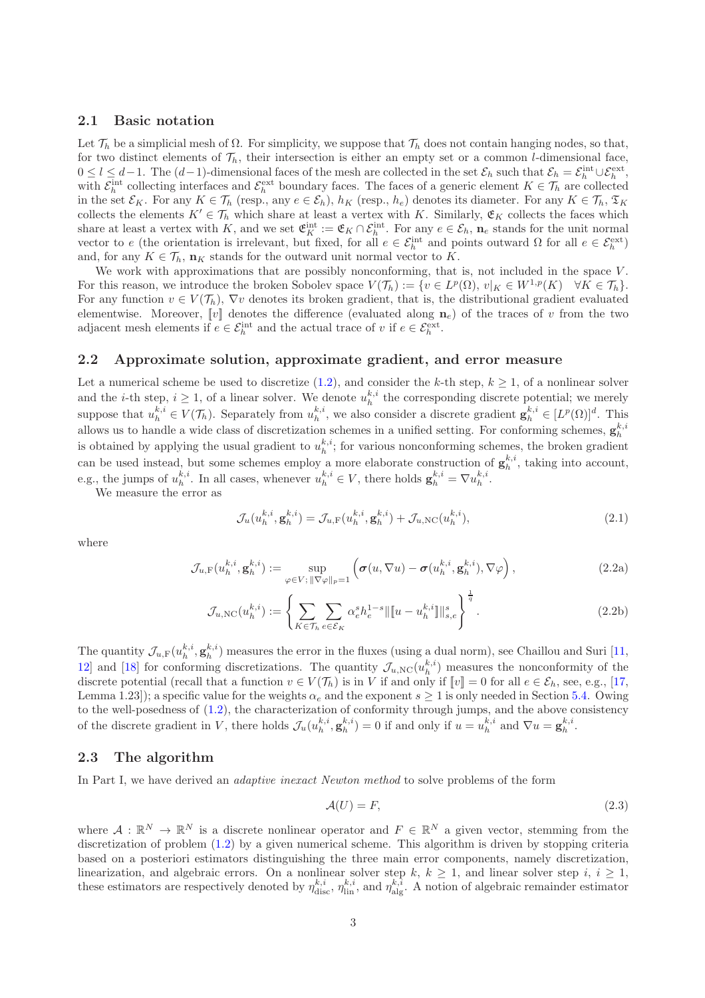#### 2.1 Basic notation

Let  $\mathcal{T}_h$  be a simplicial mesh of  $\Omega$ . For simplicity, we suppose that  $\mathcal{T}_h$  does not contain hanging nodes, so that, for two distinct elements of  $\mathcal{T}_h$ , their intersection is either an empty set or a common l-dimensional face,  $0 \leq l \leq d-1$ . The  $(d-1)$ -dimensional faces of the mesh are collected in the set  $\mathcal{E}_h$  such that  $\mathcal{E}_h = \mathcal{E}_h^{\text{int}} \cup \mathcal{E}_h^{\text{ext}},$ with  $\mathcal{E}_h^{\text{int}}$  collecting interfaces and  $\mathcal{E}_h^{\text{ext}}$  boundary faces. The faces of a generic element  $K \in \mathcal{T}_h$  are collected in the set  $\mathcal{E}_K$ . For any  $K \in \mathcal{T}_h$  (resp., any  $e \in \mathcal{E}_h$ ),  $h_K$  (resp.,  $h_e$ ) denotes its diameter. For any  $K \in \mathcal{T}_h$ ,  $\mathfrak{T}_K$ collects the elements  $K' \in \mathcal{T}_h$  which share at least a vertex with K. Similarly,  $\mathfrak{E}_K$  collects the faces which share at least a vertex with K, and we set  $\mathfrak{E}_K^{\text{int}} := \mathfrak{E}_K \cap \mathcal{E}_h^{\text{int}}$ . For any  $e \in \mathcal{E}_h$ ,  $\mathbf{n}_e$  stands for the unit normal vector to e (the orientation is irrelevant, but fixed, for all  $e \in \mathcal{E}_h^{\text{int}}$  and points outward  $\Omega$  for all  $e \in \mathcal{E}_h^{\text{ext}}$ ) and, for any  $K \in \mathcal{T}_h$ ,  $\mathbf{n}_K$  stands for the outward unit normal vector to K.

We work with approximations that are possibly nonconforming, that is, not included in the space  $V$ . For this reason, we introduce the broken Sobolev space  $V(\mathcal{T}_h) := \{v \in L^p(\Omega), v|_K \in W^{1,p}(K) \mid \forall K \in \mathcal{T}_h\}.$ For any function  $v \in V(\mathcal{T}_h)$ ,  $\nabla v$  denotes its broken gradient, that is, the distributional gradient evaluated elementwise. Moreover,  $[v]$  denotes the difference (evaluated along  $n_e$ ) of the traces of v from the two adjacent mesh elements if  $e \in \mathcal{E}_h^{\text{int}}$  and the actual trace of v if  $e \in \mathcal{E}_h^{\text{ext}}$ .

#### 2.2 Approximate solution, approximate gradient, and error measure

Let a numerical scheme be used to discretize [\(1.2\)](#page-0-1), and consider the k-th step,  $k \ge 1$ , of a nonlinear solver and the *i*-th step,  $i \geq 1$ , of a linear solver. We denote  $u_h^{k,i}$  the corresponding discrete potential; we merely suppose that  $u_h^{k,i} \in V(\mathcal{T}_h)$ . Separately from  $u_h^{k,i}$ , we also consider a discrete gradient  $\mathbf{g}_h^{k,i} \in [L^p(\Omega)]^d$ . This allows us to handle a wide class of discretization schemes in a unified setting. For conforming schemes,  $\mathbf{g}_h^{k,i}$ is obtained by applying the usual gradient to  $u_h^{k,i}$ ; for various nonconforming schemes, the broken gradient can be used instead, but some schemes employ a more elaborate construction of  $\mathbf{g}_h^{k,i}$ , taking into account, e.g., the jumps of  $u_h^{k,i}$ . In all cases, whenever  $u_h^{k,i} \in V$ , there holds  $\mathbf{g}_h^{k,i} = \nabla u_h^{k,i}$ .

We measure the error as

<span id="page-2-0"></span>
$$
\mathcal{J}_u(u_h^{k,i}, \mathbf{g}_h^{k,i}) = \mathcal{J}_{u,\mathrm{F}}(u_h^{k,i}, \mathbf{g}_h^{k,i}) + \mathcal{J}_{u,\mathrm{NC}}(u_h^{k,i}),
$$
\n(2.1)

where

$$
\mathcal{J}_{u,\mathrm{F}}(u_h^{k,i}, \mathbf{g}_h^{k,i}) := \sup_{\varphi \in V; \|\nabla \varphi\|_p = 1} \left( \sigma(u, \nabla u) - \sigma(u_h^{k,i}, \mathbf{g}_h^{k,i}), \nabla \varphi \right),\tag{2.2a}
$$

$$
\mathcal{J}_{u,\text{NC}}(u_h^{k,i}) := \left\{ \sum_{K \in \mathcal{T}_h} \sum_{e \in \mathcal{E}_K} \alpha_e^s h_e^{1-s} ||[u - u_h^{k,i}]]|_{s,e}^s \right\}^{\frac{1}{q}}.
$$
 (2.2b)

The quantity  $\mathcal{J}_{u,F}(u_h^{k,i}, \mathbf{g}_h^{k,i})$  measures the error in the fluxes (using a dual norm), see Chaillou and Suri [\[11,](#page-17-4) 12 and [\[18\]](#page-18-5) for conforming discretizations. The quantity  $\mathcal{J}_{u,NC}(u_h^{k,i})$  measures the nonconformity of the discrete potential (recall that a function  $v \in V(\mathcal{T}_h)$  is in V if and only if  $[\![v]\!] = 0$  for all  $e \in \mathcal{E}_h$ , see, e.g., [\[17,](#page-18-8) Lemma 1.23]); a specific value for the weights  $\alpha_e$  and the exponent  $s \ge 1$  is only needed in Section [5.4.](#page-12-0) Owing to the well-posedness of [\(1.2\)](#page-0-1), the characterization of conformity through jumps, and the above consistency of the discrete gradient in V, there holds  $\mathcal{J}_u(u_h^{k,i}, \mathbf{g}_h^{k,i}) = 0$  if and only if  $u = u_h^{k,i}$  and  $\nabla u = \mathbf{g}_h^{k,i}$ .

#### 2.3 The algorithm

In Part I, we have derived an *adaptive inexact Newton method* to solve problems of the form

<span id="page-2-1"></span>
$$
\mathcal{A}(U) = F,\tag{2.3}
$$

where  $A: \mathbb{R}^N \to \mathbb{R}^N$  is a discrete nonlinear operator and  $F \in \mathbb{R}^N$  a given vector, stemming from the discretization of problem [\(1.2\)](#page-0-1) by a given numerical scheme. This algorithm is driven by stopping criteria based on a posteriori estimators distinguishing the three main error components, namely discretization, linearization, and algebraic errors. On a nonlinear solver step k,  $k \geq 1$ , and linear solver step i,  $i \geq 1$ , these estimators are respectively denoted by  $\eta_{\text{disc}}^{k,i}$ ,  $\eta_{\text{lin}}^{k,i}$ , and  $\eta_{\text{alg}}^{k,i}$ . A notion of algebraic remainder estimator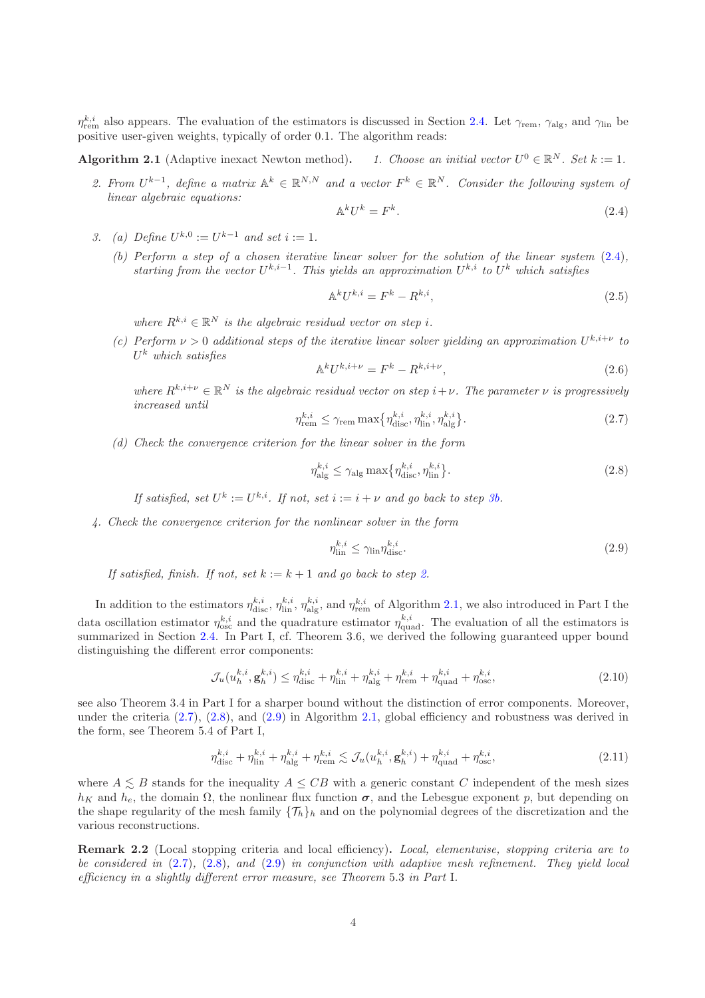$\eta_{\text{rem}}^{k,i}$  also appears. The evaluation of the estimators is discussed in Section [2.4.](#page-4-0) Let  $\gamma_{\text{rem}}$ ,  $\gamma_{\text{alg}}$ , and  $\gamma_{\text{lin}}$  be positive user-given weights, typically of order 0.1. The algorithm reads:

#### <span id="page-3-2"></span>Algorithm 2.1 (Adaptive inexact Newton method).  $0 \in \mathbb{R}^N$ . Set  $k := 1$ .

2. From  $U^{k-1}$ , define a matrix  $\mathbb{A}^k \in \mathbb{R}^{N,N}$  and a vector  $F^k \in \mathbb{R}^N$ . Consider the following system of linear algebraic equations:

<span id="page-3-0"></span>
$$
\mathbb{A}^k U^k = F^k. \tag{2.4}
$$

- <span id="page-3-1"></span>3. (a) Define  $U^{k,0} := U^{k-1}$  and set  $i := 1$ .
	- (b) Perform a step of a chosen iterative linear solver for the solution of the linear system [\(2.4\)](#page-3-0), starting from the vector  $U^{k,i-1}$ . This yields an approximation  $U^{k,i}$  to  $U^k$  which satisfies

<span id="page-3-6"></span>
$$
\mathbb{A}^k U^{k,i} = F^k - R^{k,i},\tag{2.5}
$$

where  $R^{k,i} \in \mathbb{R}^N$  is the algebraic residual vector on step i.

(c) Perform  $\nu > 0$  additional steps of the iterative linear solver yielding an approximation  $U^{k,i+\nu}$  to  $U^k$  which satisfies

<span id="page-3-7"></span>
$$
\mathbb{A}^k U^{k,i+\nu} = F^k - R^{k,i+\nu},\tag{2.6}
$$

where  $R^{k,i+\nu} \in \mathbb{R}^N$  is the algebraic residual vector on step  $i+\nu$ . The parameter  $\nu$  is progressively increased until

<span id="page-3-3"></span>
$$
\eta_{\text{rem}}^{k,i} \le \gamma_{\text{rem}} \max \{ \eta_{\text{disc}}^{k,i}, \eta_{\text{lin}}^{k,i}, \eta_{\text{alg}}^{k,i} \}. \tag{2.7}
$$

(d) Check the convergence criterion for the linear solver in the form

<span id="page-3-4"></span>
$$
\eta_{\text{alg}}^{k,i} \le \gamma_{\text{alg}} \max \{ \eta_{\text{disc}}^{k,i}, \eta_{\text{lin}}^{k,i} \}. \tag{2.8}
$$

If satisfied, set  $U^k := U^{k,i}$ . If not, set  $i := i + \nu$  and go back to step  $\mathcal{R}b$ .

4. Check the convergence criterion for the nonlinear solver in the form

<span id="page-3-5"></span>
$$
\eta_{\text{lin}}^{k,i} \le \gamma_{\text{lin}} \eta_{\text{disc}}^{k,i}.\tag{2.9}
$$

If satisfied, finish. If not, set  $k := k + 1$  and go back to step [2.](#page-3-2)

In addition to the estimators  $\eta_{\text{disc}}^{k,i}$ ,  $\eta_{\text{lin}}^{k,i}$ ,  $\eta_{\text{alg}}^{k,i}$ , and  $\eta_{\text{rem}}^{k,i}$  of Algorithm 2.1, we also introduced in Part I the data oscillation estimator  $\eta_{osc}^{k,i}$  and the quadrature estimator  $\eta_{quad}^{k,i}$ . The evaluation of all the estimators is summarized in Section [2.4.](#page-4-0) In Part I, cf. Theorem 3.6, we derived the following guaranteed upper bound distinguishing the different error components:

<span id="page-3-8"></span>
$$
\mathcal{J}_u(u_h^{k,i}, \mathbf{g}_h^{k,i}) \le \eta_{\text{disc}}^{k,i} + \eta_{\text{lin}}^{k,i} + \eta_{\text{alg}}^{k,i} + \eta_{\text{rem}}^{k,i} + \eta_{\text{quad}}^{k,i} + \eta_{\text{osc}}^{k,i},\tag{2.10}
$$

see also Theorem 3.4 in Part I for a sharper bound without the distinction of error components. Moreover, under the criteria [\(2.7\)](#page-3-3), [\(2.8\)](#page-3-4), and [\(2.9\)](#page-3-5) in Algorithm 2.1, global efficiency and robustness was derived in the form, see Theorem 5.4 of Part I,

$$
\eta_{\text{disc}}^{k,i} + \eta_{\text{lin}}^{k,i} + \eta_{\text{alg}}^{k,i} + \eta_{\text{rem}}^{k,i} \lesssim \mathcal{J}_u(u_h^{k,i}, \mathbf{g}_h^{k,i}) + \eta_{\text{quad}}^{k,i} + \eta_{\text{osc}}^{k,i},\tag{2.11}
$$

where  $A \leq B$  stands for the inequality  $A \leq CB$  with a generic constant C independent of the mesh sizes  $h_K$  and  $h_e$ , the domain  $\Omega$ , the nonlinear flux function  $\sigma$ , and the Lebesgue exponent p, but depending on the shape regularity of the mesh family  $\{\mathcal{T}_h\}_h$  and on the polynomial degrees of the discretization and the various reconstructions.

Remark 2.2 (Local stopping criteria and local efficiency). Local, elementwise, stopping criteria are to be considered in [\(2.7\)](#page-3-3), [\(2.8\)](#page-3-4), and [\(2.9\)](#page-3-5) in conjunction with adaptive mesh refinement. They yield local efficiency in a slightly different error measure, see Theorem 5.3 in Part I.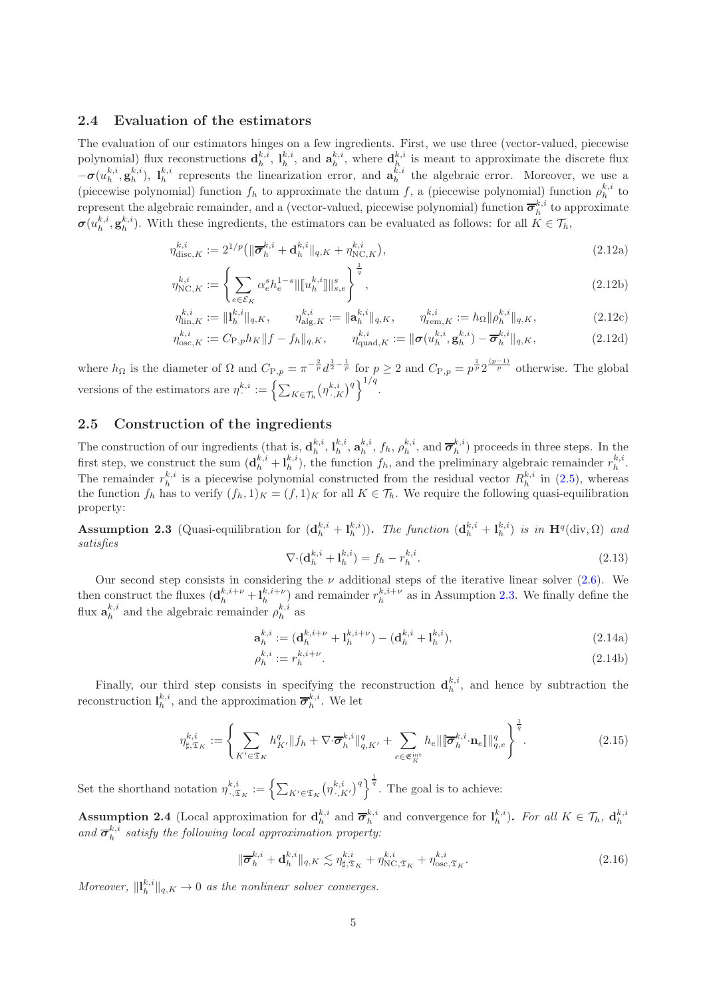#### <span id="page-4-0"></span>2.4 Evaluation of the estimators

The evaluation of our estimators hinges on a few ingredients. First, we use three (vector-valued, piecewise polynomial) flux reconstructions  $\mathbf{d}_h^{k,i}$ ,  $\mathbf{l}_h^{k,i}$ , and  $\mathbf{a}_h^{k,i}$ , where  $\mathbf{d}_h^{k,i}$  is meant to approximate the discrete flux  $-\sigma(u_h^{k,i}, g_h^{k,i})$ ,  $l_h^{k,i}$  represents the linearization error, and  $a_h^{k,i}$  the algebraic error. Moreover, we use a (piecewise polynomial) function  $f_h$  to approximate the datum f, a (piecewise polynomial) function  $\rho_h^{k,i}$  to represent the algebraic remainder, and a (vector-valued, piecewise polynomial) function  $\overline{\sigma}_h^{k,i}$  to approximate  $\sigma(u_h^{k,i}, \mathbf{g}_h^{k,i})$ . With these ingredients, the estimators can be evaluated as follows: for all  $K \in \mathcal{T}_h$ ,

$$
\eta_{\text{disc},K}^{k,i} := 2^{1/p} \left( \| \overline{\sigma}_h^{k,i} + \mathbf{d}_h^{k,i} \|_{q,K} + \eta_{\text{NC},K}^{k,i} \right),\tag{2.12a}
$$

$$
\eta_{\text{NC},K}^{k,i} := \left\{ \sum_{e \in \mathcal{E}_K} \alpha_e^s h_e^{1-s} \| [u_h^{k,i}] \|_{s,e}^s \right\}^{\frac{1}{q}},\tag{2.12b}
$$

$$
\eta_{\text{lin},K}^{k,i} := \|\mathbf{l}_h^{k,i}\|_{q,K}, \qquad \eta_{\text{alg},K}^{k,i} := \|\mathbf{a}_h^{k,i}\|_{q,K}, \qquad \eta_{\text{rem},K}^{k,i} := h_\Omega \|\rho_h^{k,i}\|_{q,K},
$$
\n
$$
\mathbf{a}_{k,i}^{k,i} := \sum_{k=1}^L \mathbf{a}_{k,i}^{k,i} \mathbf{a}_{k,i}^{k,i} \qquad \text{(2.12c)}
$$

$$
\eta_{\mathrm{osc},K}^{k,i} := C_{\mathrm{P},p} h_K \|f - f_h\|_{q,K}, \qquad \eta_{\mathrm{quad},K}^{k,i} := \|\boldsymbol{\sigma}(u_h^{k,i}, \mathbf{g}_h^{k,i}) - \overline{\boldsymbol{\sigma}}_h^{k,i}\|_{q,K},\tag{2.12d}
$$

where  $h_{\Omega}$  is the diameter of  $\Omega$  and  $C_{\text{P},p} = \pi^{-\frac{2}{p}} d^{\frac{1}{2}-\frac{1}{p}}$  for  $p \geq 2$  and  $C_{\text{P},p} = p^{\frac{1}{p}} 2^{\frac{(p-1)}{p}}$  otherwise. The global versions of the estimators are  $\eta^{k,i}_{\cdot} := \left\{ \sum_{K \in \mathcal{T}_h} (\eta^{k,i}_{\cdot,K})^q \right\}^{1/q}$ .

### <span id="page-4-3"></span>2.5 Construction of the ingredients

The construction of our ingredients (that is,  $\mathbf{d}_h^{k,i}, \mathbf{l}_h^{k,i}, \mathbf{a}_h^{k,i}, f_h, \rho_h^{k,i}$ , and  $\overline{\boldsymbol{\sigma}}_h^{k,i}$ ) proceeds in three steps. In the first step, we construct the sum  $(\mathbf{d}_{h}^{k,i} + \mathbf{l}_{h}^{k,i})$ , the function  $f_h$ , and the preliminary algebraic remainder  $r_h^{k,i}$ . The remainder  $r_h^{k,i}$  is a piecewise polynomial constructed from the residual vector  $R_h^{k,i}$  in [\(2.5\)](#page-3-6), whereas the function  $f_h$  has to verify  $(f_h, 1)_K = (f, 1)_K$  for all  $K \in \mathcal{T}_h$ . We require the following quasi-equilibration property:

<span id="page-4-1"></span>**Assumption 2.3** (Quasi-equilibration for  $(\mathbf{d}_h^{k,i} + \mathbf{l}_h^{k,i})$ ). The function  $(\mathbf{d}_h^{k,i} + \mathbf{l}_h^{k,i})$  is in  $\mathbf{H}^q(\text{div}, \Omega)$  and satisfies

<span id="page-4-4"></span>
$$
\nabla \cdot (\mathbf{d}_h^{k,i} + \mathbf{l}_h^{k,i}) = f_h - r_h^{k,i}.\tag{2.13}
$$

Our second step consists in considering the  $\nu$  additional steps of the iterative linear solver [\(2.6\)](#page-3-7). We then construct the fluxes  $(\mathbf{d}_h^{k,i+\nu} + \mathbf{l}_h^{k,i+\nu})$  and remainder  $r_h^{k,i+\nu}$  as in Assumption [2.3.](#page-4-1) We finally define the flux  $\mathbf{a}_{h}^{k,i}$  and the algebraic remainder  $\rho_{h}^{k,i}$  as

$$
\mathbf{a}_{h}^{k,i} := (\mathbf{d}_{h}^{k,i+\nu} + \mathbf{l}_{h}^{k,i+\nu}) - (\mathbf{d}_{h}^{k,i} + \mathbf{l}_{h}^{k,i}),
$$
\n(2.14a)

$$
\rho_h^{k,i} := r_h^{k,i+\nu}.\tag{2.14b}
$$

Finally, our third step consists in specifying the reconstruction  $\mathbf{d}_h^{k,i}$ , and hence by subtraction the reconstruction  $\mathbf{l}_h^{k,i}$ , and the approximation  $\overline{\sigma}_h^{k,i}$ . We let

$$
\eta_{\sharp,\mathfrak{T}_K}^{k,i} := \left\{ \sum_{K' \in \mathfrak{T}_K} h_{K'}^q \| f_h + \nabla \cdot \overline{\sigma}_h^{k,i} \|_{q,K'}^q + \sum_{e \in \mathfrak{E}_K^{\text{int}}} h_e \| \overline{\sigma}_h^{k,i} \cdot \mathbf{n}_e \|\|_{q,e}^q \right\}^{\frac{1}{q}}.
$$
\n(2.15)

Set the shorthand notation  $\eta^{k,i}_{\cdot,\mathfrak{T}_K} := \left\{ \sum_{K' \in \mathfrak{T}_K} (\eta^{k,i}_{\cdot,K'})^q \right\}^{\frac{1}{q}}$ . The goal is to achieve:

<span id="page-4-2"></span>**Assumption 2.4** (Local approximation for  $\mathbf{d}_h^{k,i}$  and  $\overline{\boldsymbol{\sigma}}_h^{k,i}$  and convergence for  $\mathbf{l}_h^{k,i}$ ). For all  $K \in \mathcal{T}_h$ ,  $\mathbf{d}_h^{k,i}$ and  $\overline{\sigma}_{h}^{k,i}$  satisfy the following local approximation property:

<span id="page-4-5"></span>
$$
\|\overline{\boldsymbol{\sigma}}_h^{k,i} + \mathbf{d}_h^{k,i}\|_{q,K} \lesssim \eta_{\sharp,\mathfrak{T}_K}^{k,i} + \eta_{\text{NC},\mathfrak{T}_K}^{k,i} + \eta_{\text{osc},\mathfrak{T}_K}^{k,i}.
$$

Moreover,  $\|\mathbf{l}_{h}^{k,i}\|_{q,K} \to 0$  as the nonlinear solver converges.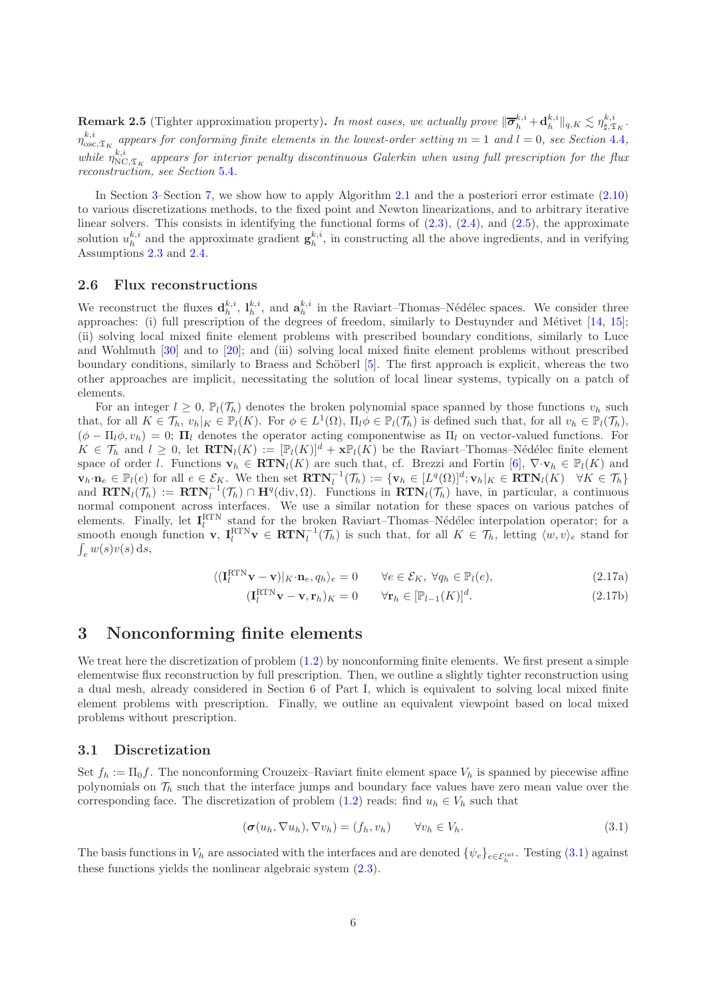**Remark 2.5** (Tighter approximation property). In most cases, we actually prove  $\|\overline{\boldsymbol{\sigma}}_h^{k,i} + \mathbf{d}_h^{k,i}\|_{q,K} \lesssim \eta_{\sharp,\mathfrak{T}_K}^{k,i}$ .  $\eta_{\rm osc, \mathfrak{T}_{K}}^{k,i}$  appears for conforming finite elements in the lowest-order setting  $m=1$  and  $l=0$ , see Section [4.4](#page-9-0), while  $\eta_{NC,\mathfrak{T}_{K}}^{k,i}$  appears for interior penalty discontinuous Galerkin when using full prescription for the flux reconstruction, see Section [5.4](#page-12-0).

In Section [3–](#page-5-0)Section [7,](#page-14-0) we show how to apply Algorithm 2.1 and the a posteriori error estimate [\(2.10\)](#page-3-8) to various discretizations methods, to the fixed point and Newton linearizations, and to arbitrary iterative linear solvers. This consists in identifying the functional forms of [\(2.3\)](#page-2-1), [\(2.4\)](#page-3-0), and [\(2.5\)](#page-3-6), the approximate solution  $u_h^{k,i}$  and the approximate gradient  $\mathbf{g}_h^{k,i}$ , in constructing all the above ingredients, and in verifying Assumptions [2.3](#page-4-1) and [2.4.](#page-4-2)

#### 2.6 Flux reconstructions

We reconstruct the fluxes  $\mathbf{d}_h^{k,i}$ ,  $\mathbf{l}_h^{k,i}$ , and  $\mathbf{a}_h^{k,i}$  in the Raviart–Thomas–Nédélec spaces. We consider three approaches: (i) full prescription of the degrees of freedom, similarly to Destuynder and Métivet  $[14, 15]$  $[14, 15]$ ; (ii) solving local mixed finite element problems with prescribed boundary conditions, similarly to Luce and Wohlmuth [\[30\]](#page-18-3) and to [\[20\]](#page-18-11); and (iii) solving local mixed finite element problems without prescribed boundary conditions, similarly to Braess and Schöberl [\[5\]](#page-17-3). The first approach is explicit, whereas the two other approaches are implicit, necessitating the solution of local linear systems, typically on a patch of elements.

For an integer  $l \geq 0$ ,  $\mathbb{P}_l(\mathcal{T}_h)$  denotes the broken polynomial space spanned by those functions  $v_h$  such that, for all  $K \in \mathcal{T}_h$ ,  $v_h|_K \in \mathbb{P}_l(K)$ . For  $\phi \in L^1(\Omega)$ ,  $\Pi_l \phi \in \mathbb{P}_l(\mathcal{T}_h)$  is defined such that, for all  $v_h \in \mathbb{P}_l(\mathcal{T}_h)$ ,  $(\phi - \Pi_l \phi, v_h) = 0$ ;  $\Pi_l$  denotes the operator acting componentwise as  $\Pi_l$  on vector-valued functions. For  $K \in \mathcal{T}_h$  and  $l \geq 0$ , let  $\mathbf{RTN}_l(K) := [\mathbb{P}_l(K)]^d + \mathbf{x}\mathbb{P}_l(K)$  be the Raviart–Thomas–Nédélec finite element space of order l. Functions  $\mathbf{v}_h \in \mathbf{RTN}_l(K)$  are such that, cf. Brezzi and Fortin [\[6\]](#page-17-9),  $\nabla \cdot \mathbf{v}_h \in \mathbb{P}_l(K)$  and  $\mathbf{v}_h \cdot \mathbf{n}_e \in \mathbb{P}_l(e)$  for all  $e \in \mathcal{E}_K$ . We then set  $\mathbf{RTN}_l^{-1}(\mathcal{T}_h) := \{ \mathbf{v}_h \in [L^q(\Omega)]^d; \mathbf{v}_h|_K \in \mathbf{RTN}_l(K) \quad \forall K \in \mathcal{T}_h \}$ and  $\mathbf{RTN}_l(\mathcal{T}_h) := \mathbf{RTN}_l^{-1}(\mathcal{T}_h) \cap \mathbf{H}^q(\text{div},\Omega)$ . Functions in  $\mathbf{RTN}_l(\mathcal{T}_h)$  have, in particular, a continuous normal component across interfaces. We use a similar notation for these spaces on various patches of elements. Finally, let  $I_l^{\text{RTN}}$  stand for the broken Raviart–Thomas–Nédélec interpolation operator; for a smooth enough function  $\mathbf{v}, \ \mathbf{I}_l^{\text{RTN}} \mathbf{v} \in \mathbf{RTN}_l^{-1}(\mathcal{T}_h)$  is such that, for all  $K \in \mathcal{T}_h$ , letting  $\langle w, v \rangle_e$  stand for  $\int_e w(s)v(s) ds,$ 

<span id="page-5-2"></span>
$$
\langle (\mathbf{I}_l^{\text{RTN}} \mathbf{v} - \mathbf{v}) |_{K} \cdot \mathbf{n}_e, q_h \rangle_e = 0 \qquad \forall e \in \mathcal{E}_K, \ \forall q_h \in \mathbb{P}_l(e), \tag{2.17a}
$$

$$
(\mathbf{I}_l^{\text{RTN}} \mathbf{v} - \mathbf{v}, \mathbf{r}_h)_K = 0 \qquad \forall \mathbf{r}_h \in [\mathbb{P}_{l-1}(K)]^d.
$$
 (2.17b)

### <span id="page-5-0"></span>3 Nonconforming finite elements

We treat here the discretization of problem  $(1.2)$  by nonconforming finite elements. We first present a simple elementwise flux reconstruction by full prescription. Then, we outline a slightly tighter reconstruction using a dual mesh, already considered in Section 6 of Part I, which is equivalent to solving local mixed finite element problems with prescription. Finally, we outline an equivalent viewpoint based on local mixed problems without prescription.

#### 3.1 Discretization

Set  $f_h := \Pi_0 f$ . The nonconforming Crouzeix–Raviart finite element space  $V_h$  is spanned by piecewise affine polynomials on  $\mathcal{T}_h$  such that the interface jumps and boundary face values have zero mean value over the corresponding face. The discretization of problem [\(1.2\)](#page-0-1) reads: find  $u_h \in V_h$  such that

<span id="page-5-1"></span>
$$
(\sigma(u_h, \nabla u_h), \nabla v_h) = (f_h, v_h) \qquad \forall v_h \in V_h.
$$
\n(3.1)

The basis functions in  $V_h$  are associated with the interfaces and are denoted  $\{\psi_e\}_{e \in \mathcal{E}_h^{\text{int}}}$ . Testing [\(3.1\)](#page-5-1) against these functions yields the nonlinear algebraic system [\(2.3\)](#page-2-1).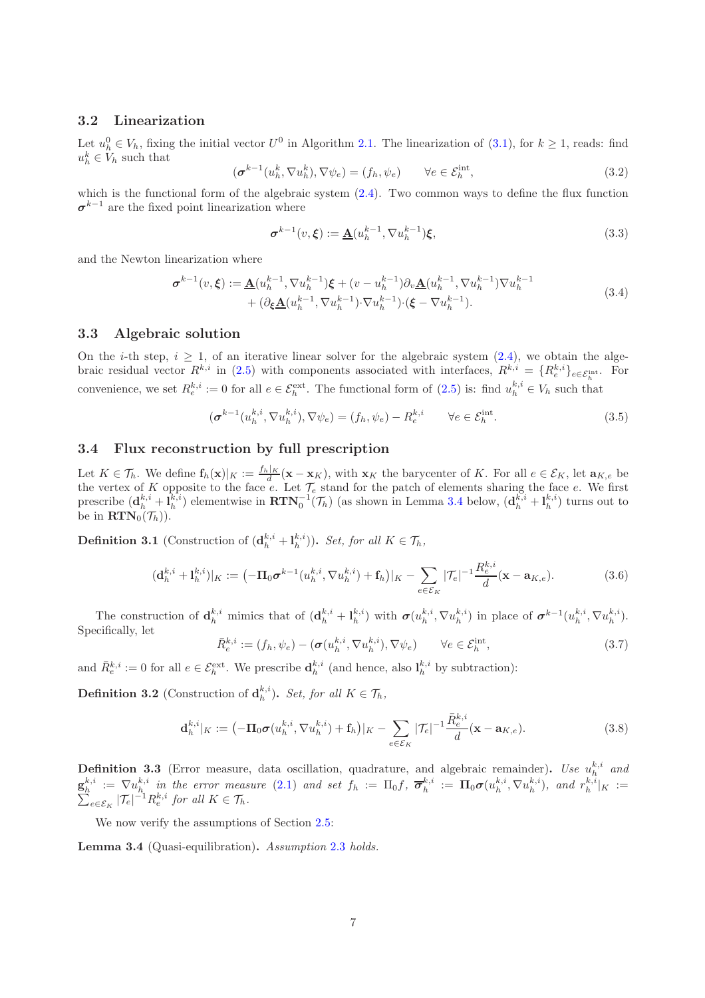#### 3.2 Linearization

Let  $u_h^0 \in V_h$ , fixing the initial vector  $U^0$  in Algorithm 2.1. The linearization of  $(3.1)$ , for  $k \ge 1$ , reads: find  $u_h^k \in V_h$  such that

$$
(\boldsymbol{\sigma}^{k-1}(u_h^k, \nabla u_h^k), \nabla \psi_e) = (f_h, \psi_e) \qquad \forall e \in \mathcal{E}_h^{\text{int}}, \tag{3.2}
$$

which is the functional form of the algebraic system  $(2.4)$ . Two common ways to define the flux function  $\sigma^{k-1}$  are the fixed point linearization where

<span id="page-6-6"></span>
$$
\sigma^{k-1}(v,\xi) := \underline{\mathbf{A}}(u_h^{k-1}, \nabla u_h^{k-1})\xi,
$$
\n(3.3)

<span id="page-6-7"></span>and the Newton linearization where

$$
\sigma^{k-1}(v,\xi) := \underline{\mathbf{A}}(u_h^{k-1}, \nabla u_h^{k-1})\xi + (v - u_h^{k-1})\partial_v \underline{\mathbf{A}}(u_h^{k-1}, \nabla u_h^{k-1})\nabla u_h^{k-1} + (\partial_{\xi} \underline{\mathbf{A}}(u_h^{k-1}, \nabla u_h^{k-1}) \cdot \nabla u_h^{k-1}) \cdot (\xi - \nabla u_h^{k-1}).
$$
\n(3.4)

#### 3.3 Algebraic solution

On the *i*-th step,  $i > 1$ , of an iterative linear solver for the algebraic system  $(2.4)$ , we obtain the algebraic residual vector  $R^{k,i}$  in [\(2.5\)](#page-3-6) with components associated with interfaces,  $R^{k,i} = \{R_e^{k,i}\}_{e \in \mathcal{E}_h^{\text{int}}}$ . For convenience, we set  $R_e^{k,i} := 0$  for all  $e \in \mathcal{E}_h^{\text{ext}}$ . The functional form of  $(2.5)$  is: find  $u_h^{k,i} \in V_h$  such that

<span id="page-6-1"></span>
$$
(\boldsymbol{\sigma}^{k-1}(u_h^{k,i}, \nabla u_h^{k,i}), \nabla \psi_e) = (f_h, \psi_e) - R_e^{k,i} \qquad \forall e \in \mathcal{E}_h^{\text{int}}.\tag{3.5}
$$

#### 3.4 Flux reconstruction by full prescription

Let  $K \in \mathcal{T}_h$ . We define  $\mathbf{f}_h(\mathbf{x})|_K := \frac{f_h|_K}{d}(\mathbf{x} - \mathbf{x}_K)$ , with  $\mathbf{x}_K$  the barycenter of K. For all  $e \in \mathcal{E}_K$ , let  $\mathbf{a}_{K,e}$  be the vertex of K opposite to the face e. Let  $\mathcal{T}_e$  stand for the patch of elements sharing the face e. We first prescribe  $(\mathbf{d}_h^{k,i} + \mathbf{l}_h^{k,i})$  elementwise in  $\text{RTN}_0^{-1}(\mathcal{T}_h)$  (as shown in Lemma [3.4](#page-6-0) below,  $(\mathbf{d}_h^{k,i} + \mathbf{l}_h^{k,i})$  turns out to be in  $\mathbf{RTN}_0(\mathcal{T}_h)$ .

<span id="page-6-3"></span>**Definition 3.1** (Construction of  $(\mathbf{d}_h^{k,i} + \mathbf{l}_h^{k,i})$ ). Set, for all  $K \in \mathcal{T}_h$ ,

<span id="page-6-2"></span>
$$
(\mathbf{d}_{h}^{k,i} + \mathbf{l}_{h}^{k,i})|_{K} := (-\Pi_{0} \sigma^{k-1} (u_{h}^{k,i}, \nabla u_{h}^{k,i}) + \mathbf{f}_{h})|_{K} - \sum_{e \in \mathcal{E}_{K}} |\mathcal{T}_{e}|^{-1} \frac{R_{e}^{k,i}}{d} (\mathbf{x} - \mathbf{a}_{K,e}).
$$
\n(3.6)

The construction of  $\mathbf{d}_h^{k,i}$  mimics that of  $(\mathbf{d}_h^{k,i} + \mathbf{l}_h^{k,i})$  with  $\boldsymbol{\sigma}(u_h^{k,i}, \nabla u_h^{k,i})$  in place of  $\boldsymbol{\sigma}^{k-1}(u_h^{k,i}, \nabla u_h^{k,i})$ . Specifically, let

$$
\bar{R}_e^{k,i} := (f_h, \psi_e) - (\sigma(u_h^{k,i}, \nabla u_h^{k,i}), \nabla \psi_e) \qquad \forall e \in \mathcal{E}_h^{\text{int}}, \tag{3.7}
$$

and  $\bar{R}_{e}^{k,i} := 0$  for all  $e \in \mathcal{E}_h^{\text{ext}}$ . We prescribe  $\mathbf{d}_h^{k,i}$  (and hence, also  $\mathbf{l}_h^{k,i}$  by subtraction):

<span id="page-6-4"></span>**Definition 3.2** (Construction of  $\mathbf{d}_h^{k,i}$ ). Set, for all  $K \in \mathcal{T}_h$ ,

<span id="page-6-5"></span>
$$
\mathbf{d}_{h}^{k,i}|_{K} := \left( -\mathbf{\Pi}_{0} \boldsymbol{\sigma}(u_{h}^{k,i}, \nabla u_{h}^{k,i}) + \mathbf{f}_{h} \right)|_{K} - \sum_{e \in \mathcal{E}_{K}} |\mathcal{T}_{e}|^{-1} \frac{\bar{R}_{e}^{k,i}}{d} (\mathbf{x} - \mathbf{a}_{K,e}). \tag{3.8}
$$

**Definition 3.3** (Error measure, data oscillation, quadrature, and algebraic remainder). Use  $u_h^{k,i}$  and  $\mathbf{g}_h^{k,i} := \nabla u_h^{k,i}$  in the error measure [\(2.1\)](#page-2-0) and set  $f_h := \Pi_0 f$ ,  $\overline{\boldsymbol{\sigma}}_h^{k,i} := \Pi_0 \boldsymbol{\sigma}(u_h^{k,i}, \nabla u_h^{k,i})$ , and  $r_h^{k,i}$ <br> $\sum_{e \in \mathcal{E}_K} |\mathcal{T}_e|^{-1} R_e^{k,i}$  for all  $K \in \mathcal{T}_h$ .  $|_K| :=$  $_{e \in \mathcal{E}_K} |\mathcal{T}_e|^{-1} R_e^{k,i}$  for all  $K \in \mathcal{T}_h$ .

We now verify the assumptions of Section [2.5:](#page-4-3)

<span id="page-6-0"></span>Lemma 3.4 (Quasi-equilibration). Assumption [2.3](#page-4-1) holds.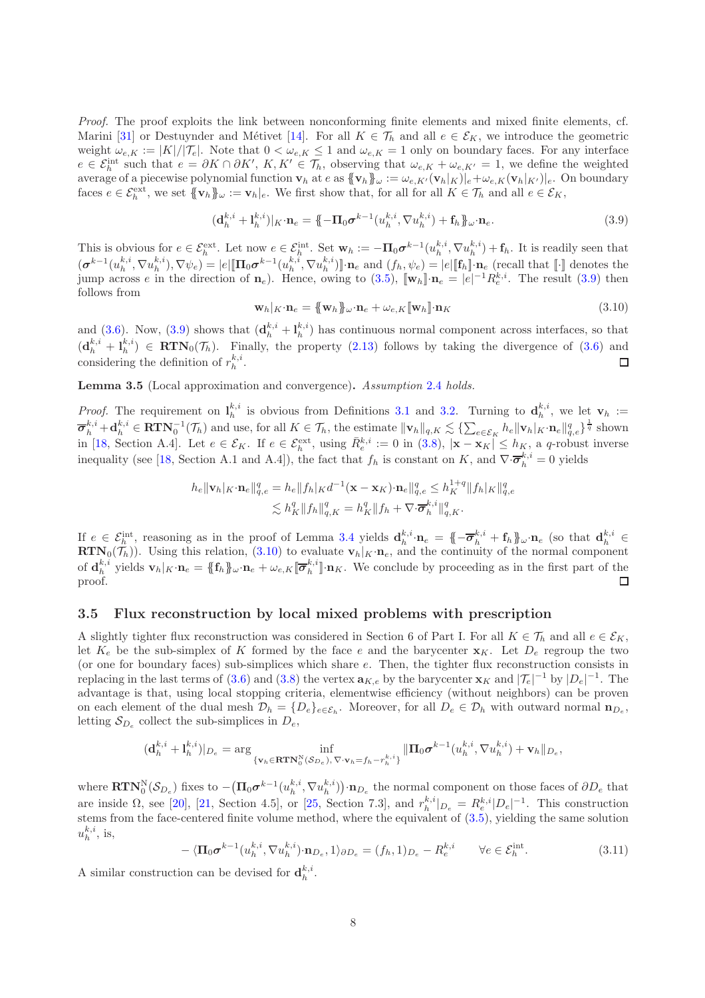Proof. The proof exploits the link between nonconforming finite elements and mixed finite elements, cf. Marini [\[31\]](#page-18-12) or Destuynder and Métivet [\[14\]](#page-18-9). For all  $K \in \mathcal{T}_h$  and all  $e \in \mathcal{E}_K$ , we introduce the geometric weight  $\omega_{e,K} := |K|/|\mathcal{T}_e|$ . Note that  $0 < \omega_{e,K} \leq 1$  and  $\omega_{e,K} = 1$  only on boundary faces. For any interface  $e \in \mathcal{E}_h^{\text{int}}$  such that  $e = \partial K \cap \partial K'$ ,  $K, K' \in \mathcal{T}_h$ , observing that  $\omega_{e,K} + \omega_{e,K'} = 1$ , we define the weighted average of a piecewise polynomial function  $\mathbf{v}_h$  at  $e$  as  $\{\![\mathbf{v}_h]\!]_\omega := \omega_{e,K'}(\mathbf{v}_h|_K)\vert_e + \omega_{e,K}(\mathbf{v}_h|_{K'})\vert_e$ . On boundary faces  $e \in \mathcal{E}_h^{\text{ext}}$ , we set  $\{\!\!\{\mathbf{v}_h\}\!\!\}_{\omega} := \mathbf{v}_h|_e$ . We first show that, for all for all  $K \in \mathcal{T}_h$  and all  $e \in \mathcal{E}_K$ ,

<span id="page-7-0"></span>
$$
(\mathbf{d}_h^{k,i} + \mathbf{l}_h^{k,i})|_{K} \cdot \mathbf{n}_e = \{-\mathbf{\Pi}_0 \boldsymbol{\sigma}^{k-1} (u_h^{k,i}, \nabla u_h^{k,i}) + \mathbf{f}_h\}_{\omega} \cdot \mathbf{n}_e. \tag{3.9}
$$

This is obvious for  $e \in \mathcal{E}_h^{\text{ext}}$ . Let now  $e \in \mathcal{E}_h^{\text{int}}$ . Set  $\mathbf{w}_h := -\Pi_0 \sigma^{k-1}(u_h^{k,i}, \nabla u_h^{k,i}) + \mathbf{f}_h$ . It is readily seen that  $(\boldsymbol{\sigma}^{k-1}(u_h^{k,i}, \nabla u_h^{k,i}), \nabla \psi_e) = |e| [\mathbf{\Pi}_0 \boldsymbol{\sigma}^{k-1}(u_h^{k,i}, \nabla u_h^{k,i})] \cdot \mathbf{n}_e$  and  $(f_h, \psi_e) = |e| [\mathbf{f}_h] \cdot \mathbf{n}_e$  (recall that  $[\cdot]$  denotes the jump across e in the direction of  $n_e$ ). Hence, owing to [\(3.5\)](#page-6-1),  $[\![w_h]\!] \cdot n_e = |e|^{-1} R_e^{k,i}$ . The result [\(3.9\)](#page-7-0) then follows from

<span id="page-7-1"></span>
$$
\mathbf{w}_h|_K \cdot \mathbf{n}_e = \{\!\!\{\mathbf{w}_h\}\!\!\}_{\omega} \cdot \mathbf{n}_e + \omega_{e,K}[\![\mathbf{w}_h]\!]\cdot \mathbf{n}_K
$$
\n(3.10)

and [\(3.6\)](#page-6-2). Now, [\(3.9\)](#page-7-0) shows that  $(d_h^{k,i} + l_h^{k,i})$  has continuous normal component across interfaces, so that  $(d_h^{k,i} + l_h^{k,i}) \in RTN_0(\mathcal{T}_h)$ . Finally, the property [\(2.13\)](#page-4-4) follows by taking the divergence of [\(3.6\)](#page-6-2) and considering the definition of  $r_h^{k,i}$ . □

Lemma 3.5 (Local approximation and convergence). Assumption [2.4](#page-4-2) holds.

*Proof.* The requirement on  $\mathbf{l}_h^{k,i}$  is obvious from Definitions [3.1](#page-6-3) and [3.2.](#page-6-4) Turning to  $\mathbf{d}_h^{k,i}$ , we let  $\mathbf{v}_h :=$  $\overline{\boldsymbol{\sigma}}_h^{k,i} + \mathbf{d}_h^{k,i} \in \mathbf{RTN}_0^{-1}(\mathcal{T}_h)$  and use, for all  $K \in \mathcal{T}_h$ , the estimate  $\|\mathbf{v}_h\|_{q,K} \lesssim \{\sum_{e \in \mathcal{E}_K} h_e \|\mathbf{v}_h|_K \cdot \mathbf{n}_e\|_{q,e}^q\}^{\frac{1}{q}}$  shown in [\[18,](#page-18-5) Section A.4]. Let  $e \in \mathcal{E}_K$ . If  $e \in \mathcal{E}_h^{\text{ext}}$ , using  $\bar{R}_e^{k,i} := 0$  in [\(3.8\)](#page-6-5),  $|\mathbf{x} - \mathbf{x}_K| \leq h_K$ , a q-robust inverse inequality (see [\[18,](#page-18-5) Section A.1 and A.4]), the fact that  $f_h$  is constant on K, and  $\nabla \cdot \overline{\sigma}_h^{k,i} = 0$  yields

$$
h_e \|\mathbf{v}_h|_K \cdot \mathbf{n}_e\|_{q,e}^q = h_e \|f_h|_K d^{-1} (\mathbf{x} - \mathbf{x}_K) \cdot \mathbf{n}_e\|_{q,e}^q \leq h_K^{1+q} \|f_h|_K \|_{q,e}^q
$$
  

$$
\lesssim h_K^q \|f_h\|_{q,K}^q = h_K^q \|f_h + \nabla \cdot \overline{\sigma}_h^{k,i}\|_{q,K}^q.
$$

If  $e \in \mathcal{E}_h^{\text{int}}$ , reasoning as in the proof of Lemma [3.4](#page-6-0) yields  $\mathbf{d}_h^{k,i} \cdot \mathbf{n}_e = \{-\overline{\boldsymbol{\sigma}}_h^{k,i} + \mathbf{f}_h\}_{\omega} \cdot \mathbf{n}_e$  (so that  $\mathbf{d}_h^{k,i} \in$  $\text{RTN}_0(\mathcal{T}_h)$ . Using this relation, [\(3.10\)](#page-7-1) to evaluate  $\mathbf{v}_h|_K \cdot \mathbf{n}_e$ , and the continuity of the normal component of  $\mathbf{d}_h^{k,i}$  yields  $\mathbf{v}_h|_K \cdot \mathbf{n}_e = \{\!\!\{\mathbf{f}_h\}\!\!\}_{\omega} \cdot \mathbf{n}_e + \omega_{e,K}[\overline{\boldsymbol{\sigma}}_h^{k,i}] \cdot \mathbf{n}_K$ . We conclude by proceeding as in the first part of the proof.  $\Box$ 

#### <span id="page-7-2"></span>3.5 Flux reconstruction by local mixed problems with prescription

A slightly tighter flux reconstruction was considered in Section 6 of Part I. For all  $K \in \mathcal{T}_h$  and all  $e \in \mathcal{E}_K$ , let  $K_e$  be the sub-simplex of K formed by the face e and the barycenter  $\mathbf{x}_K$ . Let  $D_e$  regroup the two (or one for boundary faces) sub-simplices which share e. Then, the tighter flux reconstruction consists in replacing in the last terms of [\(3.6\)](#page-6-2) and [\(3.8\)](#page-6-5) the vertex  $a_{K,e}$  by the barycenter  $x_K$  and  $|\mathcal{T}_e|^{-1}$  by  $|D_e|^{-1}$ . The advantage is that, using local stopping criteria, elementwise efficiency (without neighbors) can be proven on each element of the dual mesh  $\mathcal{D}_h = \{D_e\}_{e \in \mathcal{E}_h}$ . Moreover, for all  $D_e \in \mathcal{D}_h$  with outward normal  $\mathbf{n}_{D_e}$ , letting  $S_{D_e}$  collect the sub-simplices in  $D_e$ ,

$$
(\mathbf{d}^{k,i}_h+\mathbf{l}^{k,i}_h)|_{D_e}=\arg\inf_{\{\mathbf{v}_h\in\mathbf{RTN}_0^{\mathrm{N}}(\mathcal{S}_{D_e}),\nabla\cdot\mathbf{v}_h=f_h-r_h^{k,i}\}}\|\mathbf{\Pi}_0{\pmb\sigma}^{k-1}(u^{k,i}_h,\nabla u^{k,i}_h)+\mathbf{v}_h\|_{D_e},
$$

where  $\text{RTN}_0^N(\mathcal{S}_{D_e})$  fixes to  $-(\Pi_0 \sigma^{k-1}(u_h^{k,i}, \nabla u_h^{k,i})) \cdot \mathbf{n}_{D_e}$  the normal component on those faces of  $\partial D_e$  that are inside  $\Omega$ , see [\[20\]](#page-18-11), [\[21,](#page-18-4) Section 4.5], or [\[25,](#page-18-13) Section 7.3], and  $r_h^{k,i}|_{D_e} = R_e^{k,i}|D_e|^{-1}$ . This construction stems from the face-centered finite volume method, where the equivalent of [\(3.5\)](#page-6-1), yielding the same solution  $u_h^{k,i}$ , is,

$$
-\langle \Pi_0 \sigma^{k-1}(u_h^{k,i}, \nabla u_h^{k,i}) \cdot \mathbf{n}_{D_e}, 1 \rangle_{\partial D_e} = (f_h, 1)_{D_e} - R_e^{k,i} \qquad \forall e \in \mathcal{E}_h^{\text{int}}.
$$
 (3.11)

A similar construction can be devised for  $\mathbf{d}_h^{k,i}$ .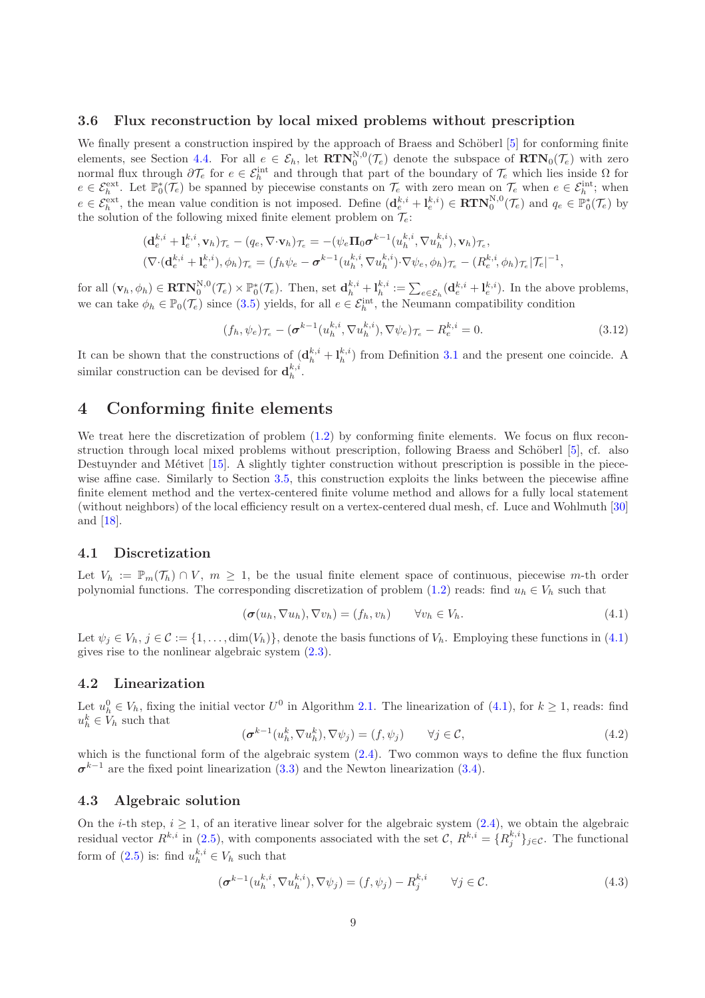#### <span id="page-8-1"></span>3.6 Flux reconstruction by local mixed problems without prescription

We finally present a construction inspired by the approach of Braess and Schöberl [\[5\]](#page-17-3) for conforming finite elements, see Section [4.4.](#page-9-0) For all  $e \in \mathcal{E}_h$ , let  $\mathbf{RTN}_0^{N,0}(\mathcal{T}_e)$  denote the subspace of  $\mathbf{RTN}_0(\mathcal{T}_e)$  with zero normal flux through  $\partial\mathcal{T}_e$  for  $e \in \mathcal{E}_h^{\text{int}}$  and through that part of the boundary of  $\mathcal{T}_e$  which lies inside  $\Omega$  for  $e \in \mathcal{E}_h^{\text{ext}}$ . Let  $\mathbb{P}_0^*(\mathcal{T}_e)$  be spanned by piecewise constants on  $\mathcal{T}_e$  with zero mean on  $\mathcal{T}_e$  when  $e \in \mathcal{E}_h^{\text{int}}$ ; when  $e \in \mathcal{E}_h^{\text{ext}},$  the mean value condition is not imposed. Define  $(\mathbf{d}_e^{k,i} + \mathbf{l}_e^{k,i}) \in \text{RTN}_0^{N,0}(\mathcal{T}_e)$  and  $q_e \in \mathbb{P}_0^*(\mathcal{T}_e)$  by the solution of the following mixed finite element problem on  $\mathcal{T}_e$ .

$$
\begin{split}\n(\mathbf{d}_{e}^{k,i} + \mathbf{l}_{e}^{k,i}, \mathbf{v}_{h})_{\mathcal{T}_{e}} - (q_{e}, \nabla \cdot \mathbf{v}_{h})_{\mathcal{T}_{e}} &= -(\psi_{e} \mathbf{\Pi}_{0} \boldsymbol{\sigma}^{k-1} (u_{h}^{k,i}, \nabla u_{h}^{k,i}), \mathbf{v}_{h})_{\mathcal{T}_{e}}, \\
(\nabla \cdot (\mathbf{d}_{e}^{k,i} + \mathbf{l}_{e}^{k,i}), \phi_{h})_{\mathcal{T}_{e}} &= (f_{h} \psi_{e} - \boldsymbol{\sigma}^{k-1} (u_{h}^{k,i}, \nabla u_{h}^{k,i}) \cdot \nabla \psi_{e}, \phi_{h})_{\mathcal{T}_{e}} - (R_{e}^{k,i}, \phi_{h})_{\mathcal{T}_{e}} |\mathcal{T}_{e}|^{-1},\n\end{split}
$$

for all  $(\mathbf{v}_h, \phi_h) \in \mathbf{RTN}_0^{N,0}(\mathcal{T}_e) \times \mathbb{P}_0^*(\mathcal{T}_e)$ . Then, set  $\mathbf{d}_h^{k,i} + \mathbf{l}_h^{k,i} := \sum_{e \in \mathcal{E}_h} (\mathbf{d}_e^{k,i} + \mathbf{l}_e^{k,i})$ . In the above problems, we can take  $\phi_h \in \mathbb{P}_0(\mathcal{T}_e)$  since [\(3.5\)](#page-6-1) yields, for all  $e \in \mathcal{E}_h^{\text{int}}$ , the Neumann compatibility condition

$$
(f_h, \psi_e)_{\mathcal{T}_e} - (\boldsymbol{\sigma}^{k-1}(u_h^{k,i}, \nabla u_h^{k,i}), \nabla \psi_e)_{\mathcal{T}_e} - R_e^{k,i} = 0.
$$
 (3.12)

It can be shown that the constructions of  $(\mathbf{d}_h^{k,i} + \mathbf{l}_h^{k,i})$  from Definition [3.1](#page-6-3) and the present one coincide. A similar construction can be devised for  $\mathbf{d}_{h}^{k,i}$ .

### 4 Conforming finite elements

We treat here the discretization of problem  $(1.2)$  by conforming finite elements. We focus on flux recon-struction through local mixed problems without prescription, following Braess and Schöberl [\[5\]](#page-17-3), cf. also Destuynder and Métivet [\[15\]](#page-18-10). A slightly tighter construction without prescription is possible in the piecewise affine case. Similarly to Section [3.5,](#page-7-2) this construction exploits the links between the piecewise affine finite element method and the vertex-centered finite volume method and allows for a fully local statement (without neighbors) of the local efficiency result on a vertex-centered dual mesh, cf. Luce and Wohlmuth [\[30\]](#page-18-3) and [\[18\]](#page-18-5).

#### 4.1 Discretization

Let  $V_h := \mathbb{P}_m(\mathcal{T}_h) \cap V$ ,  $m \geq 1$ , be the usual finite element space of continuous, piecewise m-th order polynomial functions. The corresponding discretization of problem [\(1.2\)](#page-0-1) reads: find  $u_h \in V_h$  such that

<span id="page-8-0"></span>
$$
(\sigma(u_h, \nabla u_h), \nabla v_h) = (f_h, v_h) \qquad \forall v_h \in V_h.
$$
\n(4.1)

Let  $\psi_j \in V_h$ ,  $j \in \mathcal{C} := \{1, \ldots, \dim(V_h)\}\)$ , denote the basis functions of  $V_h$ . Employing these functions in [\(4.1\)](#page-8-0) gives rise to the nonlinear algebraic system [\(2.3\)](#page-2-1).

#### 4.2 Linearization

Let  $u_h^0 \in V_h$ , fixing the initial vector  $U^0$  in Algorithm 2.1. The linearization of  $(4.1)$ , for  $k \ge 1$ , reads: find  $u_h^k \in V_h$  such that

$$
(\boldsymbol{\sigma}^{k-1}(u_h^k, \nabla u_h^k), \nabla \psi_j) = (f, \psi_j) \qquad \forall j \in \mathcal{C},
$$
\n(4.2)

which is the functional form of the algebraic system  $(2.4)$ . Two common ways to define the flux function  $\sigma^{k-1}$  are the fixed point linearization [\(3.3\)](#page-6-6) and the Newton linearization [\(3.4\)](#page-6-7).

#### 4.3 Algebraic solution

On the *i*-th step,  $i \geq 1$ , of an iterative linear solver for the algebraic system  $(2.4)$ , we obtain the algebraic residual vector  $R^{k,i}$  in [\(2.5\)](#page-3-6), with components associated with the set  $\mathcal{C}, R^{k,i} = \{R_j^{k,i}\}_{j \in \mathcal{C}}$ . The functional form of [\(2.5\)](#page-3-6) is: find  $u_h^{k,i} \in V_h$  such that

<span id="page-8-2"></span>
$$
(\boldsymbol{\sigma}^{k-1}(u_h^{k,i}, \nabla u_h^{k,i}), \nabla \psi_j) = (f, \psi_j) - R_j^{k,i} \qquad \forall j \in \mathcal{C}.
$$
\n
$$
(4.3)
$$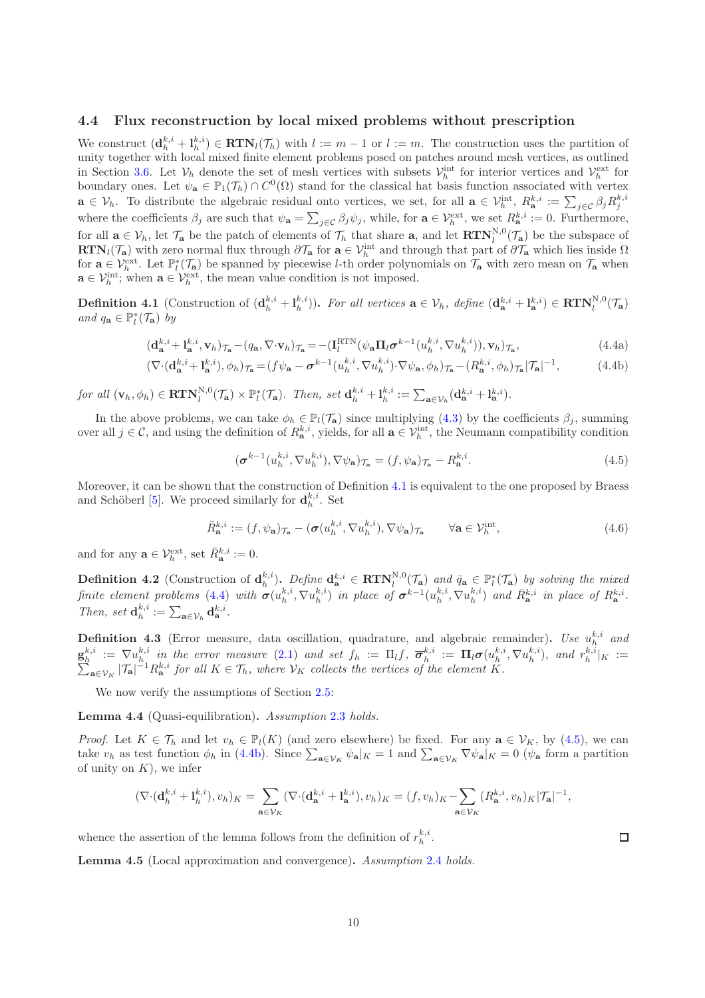#### <span id="page-9-0"></span>4.4 Flux reconstruction by local mixed problems without prescription

We construct  $(\mathbf{d}_h^{k,i} + \mathbf{l}_h^{k,i}) \in \mathbf{RTN}_l(\mathcal{T}_h)$  with  $l := m - 1$  or  $l := m$ . The construction uses the partition of unity together with local mixed finite element problems posed on patches around mesh vertices, as outlined in Section [3.6.](#page-8-1) Let  $V_h$  denote the set of mesh vertices with subsets  $V_h^{\text{int}}$  for interior vertices and  $V_h^{\text{ext}}$  for boundary ones. Let  $\psi_{\mathbf{a}} \in \mathbb{P}_1(\mathcal{T}_h) \cap C^0(\Omega)$  stand for the classical hat basis function associated with vertex  $\mathbf{a} \in \mathcal{V}_h$ . To distribute the algebraic residual onto vertices, we set, for all  $\mathbf{a} \in \mathcal{V}_h^{\text{int}}, R^{k,i}_\mathbf{a} := \sum_{j \in \mathcal{C}} \beta_j R_j^{k,i}$ where the coefficients  $\beta_j$  are such that  $\psi_{\mathbf{a}} = \sum_{j \in \mathcal{C}} \beta_j \psi_j$ , while, for  $\mathbf{a} \in \mathcal{V}_h^{\text{ext}}$ , we set  $R_{\mathbf{a}}^{k,i} := 0$ . Furthermore, for all  $\mathbf{a} \in \mathcal{V}_h$ , let  $\mathcal{T}_{\mathbf{a}}$  be the patch of elements of  $\mathcal{T}_h$  that share  $\mathbf{a}$ , and let  $\mathbf{RTN}_l^{N,0}(\mathcal{T}_{\mathbf{a}})$  be the subspace of  $\mathbf{RTN}_l(\mathcal{T}_a)$  with zero normal flux through  $\partial \mathcal{T}_a$  for  $a \in \mathcal{V}_h^{\text{int}}$  and through that part of  $\partial \mathcal{T}_a$  which lies inside  $\Omega$ for  $\mathbf{a} \in \mathcal{V}_h^{\text{ext}}$ . Let  $\mathbb{P}_l^*(\mathcal{T}_a)$  be spanned by piecewise *l*-th order polynomials on  $\mathcal{T}_a$  with zero mean on  $\mathcal{T}_a$  when  $\mathbf{a} \in \mathcal{V}_h^{\text{int}}$ ; when  $\mathbf{a} \in \mathcal{V}_h^{\text{ext}}$ , the mean value condition is not imposed.

<span id="page-9-1"></span>**Definition 4.1** (Construction of  $(\mathbf{d}_h^{k,i} + \mathbf{l}_h^{k,i})$ ). For all vertices  $\mathbf{a} \in \mathcal{V}_h$ , define  $(\mathbf{d}_\mathbf{a}^{k,i} + \mathbf{l}_\mathbf{a}^{k,i}) \in \mathbf{RTN}_l^{N,0}(\mathcal{T}_\mathbf{a})$ and  $q_{\mathbf{a}} \in \mathbb{P}_l^*(\mathcal{T}_{\mathbf{a}})$  by

<span id="page-9-2"></span>
$$
(\mathbf{d}_{\mathbf{a}}^{k,i} + \mathbf{l}_{\mathbf{a}}^{k,i}, \mathbf{v}_h)_{\mathcal{T}_{\mathbf{a}}} - (q_{\mathbf{a}}, \nabla \cdot \mathbf{v}_h)_{\mathcal{T}_{\mathbf{a}}} = -(\mathbf{I}_l^{\text{RTN}}(\psi_{\mathbf{a}} \mathbf{\Pi}_l \boldsymbol{\sigma}^{k-1}(u_h^{k,i}, \nabla u_h^{k,i})), \mathbf{v}_h)_{\mathcal{T}_{\mathbf{a}}},\tag{4.4a}
$$

$$
(\nabla \cdot (\mathbf{d}_{\mathbf{a}}^{k,i} + \mathbf{l}_{\mathbf{a}}^{k,i}), \phi_h)_{\mathcal{T}_{\mathbf{a}}} = (f\psi_{\mathbf{a}} - \boldsymbol{\sigma}^{k-1}(u_h^{k,i}, \nabla u_h^{k,i}) \cdot \nabla \psi_{\mathbf{a}}, \phi_h)_{\mathcal{T}_{\mathbf{a}}} - (R_{\mathbf{a}}^{k,i}, \phi_h)_{\mathcal{T}_{\mathbf{a}}} | \mathcal{T}_{\mathbf{a}} |^{-1},
$$
(4.4b)

for all  $(\mathbf{v}_h, \phi_h) \in \mathbf{RTN}_l^{N,0}(\mathcal{T}_a) \times \mathbb{P}_l^*(\mathcal{T}_a)$ . Then, set  $\mathbf{d}_h^{k,i} + \mathbf{l}_h^{k,i} := \sum_{\mathbf{a} \in \mathcal{V}_h} (\mathbf{d}_{\mathbf{a}}^{k,i} + \mathbf{l}_{\mathbf{a}}^{k,i})$ .

In the above problems, we can take  $\phi_h \in \mathbb{P}_l(\mathcal{T}_a)$  since multiplying [\(4.3\)](#page-8-2) by the coefficients  $\beta_j$ , summing over all  $j \in \mathcal{C}$ , and using the definition of  $R_{\mathbf{a}}^{k,i}$ , yields, for all  $\mathbf{a} \in \mathcal{V}_h^{\text{int}}$ , the Neumann compatibility condition

<span id="page-9-4"></span><span id="page-9-3"></span>
$$
(\boldsymbol{\sigma}^{k-1}(u_h^{k,i}, \nabla u_h^{k,i}), \nabla \psi_\mathbf{a})_{\mathcal{T}_\mathbf{a}} = (f, \psi_\mathbf{a})_{\mathcal{T}_\mathbf{a}} - R_\mathbf{a}^{k,i}.
$$
\n(4.5)

Moreover, it can be shown that the construction of Definition [4.1](#page-9-1) is equivalent to the one proposed by Braess and Schöberl [\[5\]](#page-17-3). We proceed similarly for  $\mathbf{d}_{h}^{k,i}$ . Set

<span id="page-9-6"></span>
$$
\bar{R}_{\mathbf{a}}^{k,i} := (f, \psi_{\mathbf{a}})_{\mathcal{T}_{\mathbf{a}}} - (\sigma(u_h^{k,i}, \nabla u_h^{k,i}), \nabla \psi_{\mathbf{a}})_{\mathcal{T}_{\mathbf{a}}} \qquad \forall \mathbf{a} \in \mathcal{V}_h^{\text{int}}, \tag{4.6}
$$

and for any  $\mathbf{a} \in \mathcal{V}_h^{\text{ext}},$  set  $\bar{R}_{\mathbf{a}}^{k,i} := 0$ .

<span id="page-9-5"></span>**Definition 4.2** (Construction of  $\mathbf{d}_h^{k,i}$ ). Define  $\mathbf{d}_\mathbf{a}^{k,i} \in \mathbf{RTN}_l^{N,0}(\mathcal{T}_\mathbf{a})$  and  $\bar{q}_\mathbf{a} \in \mathbb{P}_l^*(\mathcal{T}_\mathbf{a})$  by solving the mixed finite element problems [\(4.4\)](#page-9-2) with  $\sigma(u_h^{k,i}, \nabla u_h^{k,i})$  in place of  $\sigma^{k-1}(u_h^{k,i}, \nabla u_h^{k,i})$  and  $\bar{R}_{\bf a}^{k,i}$  in place of  $R_{\bf a}^{k,i}$ . Then, set  $\mathbf{d}_h^{k,i} := \sum_{\mathbf{a} \in \mathcal{V}_h} \mathbf{d}_\mathbf{a}^{k,i}.$ 

**Definition 4.3** (Error measure, data oscillation, quadrature, and algebraic remainder). Use  $u_h^{k,i}$  and  $\mathbf{g}_h^{k,i} := \nabla u_h^{k,i}$  in the error measure [\(2.1\)](#page-2-0) and set  $f_h := \Pi_l f, \ \overline{\boldsymbol{\sigma}}_h^{k,i} := \Pi_l \boldsymbol{\sigma}(u_h^{k,i}, \nabla u_h^{k,i})$ , and  $r_h^{k,i}$ <br> $\sum_{\mathbf{a} \in \mathcal{V}_k} |\mathcal{T}_{\mathbf{a}}|^{-1} R_{\mathbf{a}}^{k,i}$  for all  $K \in \mathcal{T}_h$ , where  $\mathcal{V}_K$  collects  $|_K| :=$  $_{\mathbf{a}\in\mathcal{V}_K}|\mathcal{T}_\mathbf{a}|^{-1}R_\mathbf{a}^{k,i}$  for all  $K\in\mathcal{T}_h$ , where  $\mathcal{V}_K$  collects the vertices of the element K.

We now verify the assumptions of Section [2.5:](#page-4-3)

Lemma 4.4 (Quasi-equilibration). Assumption [2.3](#page-4-1) holds.

*Proof.* Let  $K \in \mathcal{T}_h$  and let  $v_h \in \mathbb{P}_l(K)$  (and zero elsewhere) be fixed. For any  $\mathbf{a} \in \mathcal{V}_K$ , by [\(4.5\)](#page-9-3), we can take  $v_h$  as test function  $\phi_h$  in [\(4.4b\)](#page-9-4). Since  $\sum_{\mathbf{a}\in\mathcal{V}_K}\psi_{\mathbf{a}}|_K=1$  and  $\sum_{\mathbf{a}\in\mathcal{V}_K}\nabla\psi_{\mathbf{a}}|_K=0$  ( $\psi_{\mathbf{a}}$  form a partition of unity on  $K$ ), we infer

$$
(\nabla \cdot (\mathbf{d}_h^{k,i} + \mathbf{l}_h^{k,i}), v_h)_K = \sum_{\mathbf{a}\in\mathcal{V}_K} (\nabla \cdot (\mathbf{d}_\mathbf{a}^{k,i} + \mathbf{l}_\mathbf{a}^{k,i}), v_h)_K = (f, v_h)_K - \sum_{\mathbf{a}\in\mathcal{V}_K} (R_\mathbf{a}^{k,i}, v_h)_K |\mathcal{T}_\mathbf{a}|^{-1},
$$

whence the assertion of the lemma follows from the definition of  $r_h^{k,i}$ .

Lemma 4.5 (Local approximation and convergence). Assumption [2.4](#page-4-2) holds.

 $\Box$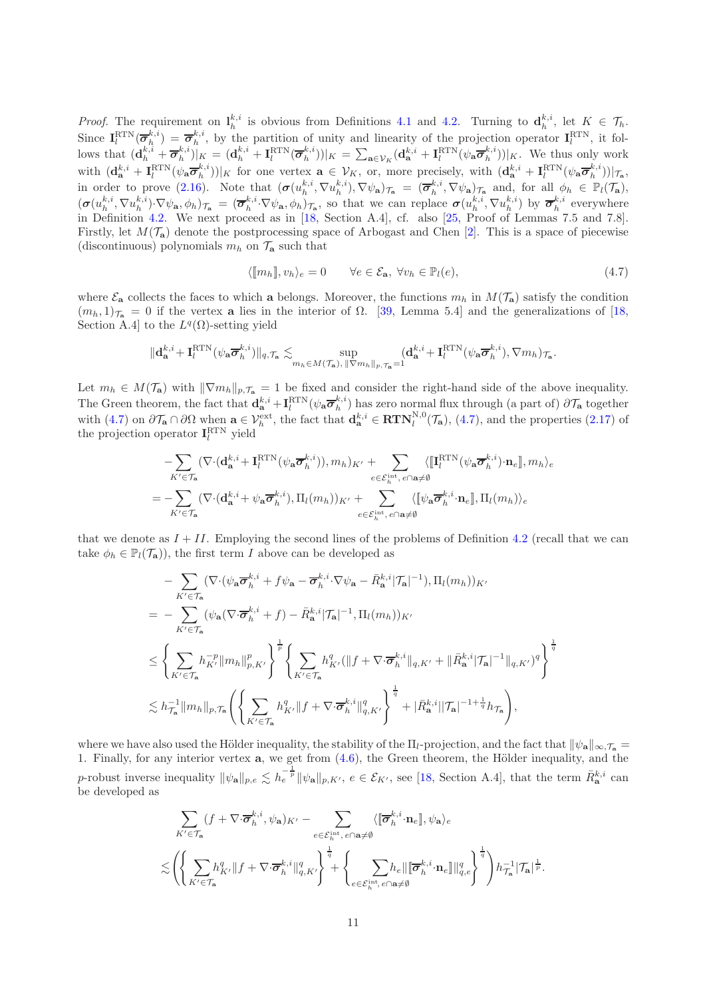*Proof.* The requirement on  $l_h^{k,i}$  is obvious from Definitions [4.1](#page-9-1) and [4.2.](#page-9-5) Turning to  $d_h^{k,i}$ , let  $K \in \mathcal{T}_h$ . Since  $I_l^{\text{RTN}}(\overline{\sigma}_h^{k,i}) = \overline{\sigma}_h^{k,i}$ , by the partition of unity and linearity of the projection operator  $I_l^{\text{RTN}}$ , it follows that  $(\mathbf{d}_h^{k,i} + \overline{\sigma}_h^{k,i})|_K = (\mathbf{d}_h^{k,i} + \mathbf{I}_l^{\text{RTN}}(\overline{\sigma}_h^{k,i}))|_K = \sum_{\mathbf{a}\in\mathcal{V}_K}(\mathbf{d}_\mathbf{a}^{k,i} + \mathbf{I}_l^{\text{RTN}}(\psi_\mathbf{a}\overline{\sigma}_h^{k,i}))|_K$ . We thus only work with  $(\mathbf{d}_{\mathbf{a}}^{k,i} + \mathbf{I}_{l}^{\text{RTN}}(\psi_{\mathbf{a}}\overline{\boldsymbol{\sigma}}_h^{k,i}))|_K$  for one vertex  $\mathbf{a} \in \mathcal{V}_K$ , or, more precisely, with  $(\mathbf{d}_{\mathbf{a}}^{k,i} + \mathbf{I}_{l}^{\text{RTN}}(\psi_{\mathbf{a}}\overline{\boldsymbol{\sigma}}_h^{k,i}))|_{\mathcal{T}_{\mathbf{a}}},$ in order to prove [\(2.16\)](#page-4-5). Note that  $(\sigma(u_h^{k,i}, \nabla u_h^{k,i}), \nabla \psi_a)_{\tau_a} = (\overline{\sigma}_h^{k,i}, \nabla \psi_a)_{\tau_a}$  and, for all  $\phi_h \in \mathbb{P}_l(\mathcal{T}_a)$ ,  $(\sigma(u_h^{k,i}, \nabla u_h^{k,i}) \cdot \nabla \psi_a, \phi_h)_{\mathcal{T}_a} = (\overline{\sigma}_h^{k,i} \cdot \nabla \psi_a, \phi_h)_{\mathcal{T}_a}$ , so that we can replace  $\sigma(u_h^{k,i}, \nabla u_h^{k,i})$  by  $\overline{\sigma}_h^{k,i}$  everywhere in Definition [4.2.](#page-9-5) We next proceed as in [\[18,](#page-18-5) Section A.4], cf. also [\[25,](#page-18-13) Proof of Lemmas 7.5 and 7.8]. Firstly, let  $M(\mathcal{T}_a)$  denote the postprocessing space of Arbogast and Chen [\[2\]](#page-17-10). This is a space of piecewise (discontinuous) polynomials  $m_h$  on  $\mathcal{T}_a$  such that

<span id="page-10-0"></span>
$$
\langle [m_h], v_h \rangle_e = 0 \qquad \forall e \in \mathcal{E}_\mathbf{a}, \ \forall v_h \in \mathbb{P}_l(e), \tag{4.7}
$$

where  $\mathcal{E}_a$  collects the faces to which a belongs. Moreover, the functions  $m_h$  in  $M(\mathcal{T}_a)$  satisfy the condition  $(m_h, 1)_{\tau_a} = 0$  if the vertex a lies in the interior of  $\Omega$ . [\[39,](#page-19-4) Lemma 5.4] and the generalizations of [\[18,](#page-18-5) Section A.4] to the  $L^q(\Omega)$ -setting yield

$$
\| \mathbf{d}_{\mathbf{a}}^{k,i} + \mathbf{I}_l^{\text{RTN}}(\psi_{\mathbf{a}} \overline{\pmb{\sigma}}_h^{k,i}) \|_{q,\mathcal{T}_{\mathbf{a}}} \lesssim \sup_{m_h \in M(\mathcal{T}_{\mathbf{a}}), \, \|\nabla m_h\|_p, \mathcal{T}_{\mathbf{a}} = 1} (\mathbf{d}_{\mathbf{a}}^{k,i} + \mathbf{I}_l^{\text{RTN}}(\psi_{\mathbf{a}} \overline{\pmb{\sigma}}_h^{k,i}), \nabla m_h)_{\mathcal{T}_{\mathbf{a}}}.
$$

Let  $m_h \in M(\mathcal{T}_a)$  with  $\|\nabla m_h\|_{p,\mathcal{T}_a} = 1$  be fixed and consider the right-hand side of the above inequality. The Green theorem, the fact that  $\mathbf{d}_{\mathbf{a}}^{k,i} + \mathbf{I}_l^{\text{RTN}}(\psi_{\mathbf{a}} \overline{\boldsymbol{\sigma}}_h^{k,i})$  has zero normal flux through (a part of)  $\partial \mathcal{T}_{\mathbf{a}}$  together with  $(4.7)$  on  $\partial \mathcal{T}_{a} \cap \partial \Omega$  when  $a \in \mathcal{V}_{h}^{\text{ext}}$ , the fact that  $\mathbf{d}_{a}^{k,i} \in \mathbf{RTN}_{l}^{N,0}(\mathcal{T}_{a}), (4.7)$  $\mathbf{d}_{a}^{k,i} \in \mathbf{RTN}_{l}^{N,0}(\mathcal{T}_{a}), (4.7)$ , and the properties  $(2.17)$  of the projection operator  $\mathbf{I}^{\text{RTN}}_l$  yield

$$
- \sum_{K' \in \mathcal{T}_{\mathbf{a}}} (\nabla \cdot (\mathbf{d}_{\mathbf{a}}^{k,i} + \mathbf{I}_{l}^{\text{RTN}}(\psi_{\mathbf{a}} \overline{\sigma}_{h}^{k,i})), m_h)_{K'} + \sum_{e \in \mathcal{E}_{h}^{\text{int}}, e \cap \mathbf{a} \neq \emptyset} \langle [\![\mathbf{I}_{l}^{\text{RTN}}(\psi_{\mathbf{a}} \overline{\sigma}_{h}^{k,i}) \cdot \mathbf{n}_{e}]\!], m_{h} \rangle_{e}
$$
  
= 
$$
- \sum_{K' \in \mathcal{T}_{\mathbf{a}}} (\nabla \cdot (\mathbf{d}_{\mathbf{a}}^{k,i} + \psi_{\mathbf{a}} \overline{\sigma}_{h}^{k,i}), \Pi_{l}(m_{h}))_{K'} + \sum_{e \in \mathcal{E}_{h}^{\text{int}}, e \cap \mathbf{a} \neq \emptyset} \langle [\![\psi_{\mathbf{a}} \overline{\sigma}_{h}^{k,i} \cdot \mathbf{n}_{e}]\!], \Pi_{l}(m_{h}) \rangle_{e}
$$

that we denote as  $I + II$ . Employing the second lines of the problems of Definition [4.2](#page-9-5) (recall that we can take  $\phi_h \in \mathbb{P}_l(\mathcal{T}_a)$ , the first term I above can be developed as

$$
\begin{split} &-\sum_{K'\in\mathcal{T}_{\mathbf{a}}}(\nabla\cdot(\psi_{\mathbf{a}}\overline{\sigma}_{h}^{k,i}+f\psi_{\mathbf{a}}-\overline{\sigma}_{h}^{k,i}\cdot\nabla\psi_{\mathbf{a}}-\bar{R}_{\mathbf{a}}^{k,i}|\mathcal{T}_{\mathbf{a}}|^{-1}),\Pi_{l}(m_{h}))_{K'}\\ &=\;-\sum_{K'\in\mathcal{T}_{\mathbf{a}}}(\psi_{\mathbf{a}}(\nabla\cdot\overline{\sigma}_{h}^{k,i}+f)-\bar{R}_{\mathbf{a}}^{k,i}|\mathcal{T}_{\mathbf{a}}|^{-1},\Pi_{l}(m_{h}))_{K'}\\ &\leq\Bigg\{\sum_{K'\in\mathcal{T}_{\mathbf{a}}}h_{K'}^{-p}\|m_{h}\|_{p,K'}^{p}\Bigg\}^{\frac{1}{p}}\Bigg\{\sum_{K'\in\mathcal{T}_{\mathbf{a}}}h_{K'}^{q}(\|f+\nabla\cdot\overline{\sigma}_{h}^{k,i}\|_{q,K'}+\|\bar{R}_{\mathbf{a}}^{k,i}|\mathcal{T}_{\mathbf{a}}|^{-1}\|_{q,K'})^{q}\Bigg\}^{\frac{1}{q}}\\ &\lesssim h_{\mathcal{T}_{\mathbf{a}}}^{-1}\|m_{h}\|_{p,\mathcal{T}_{\mathbf{a}}}\Bigg(\Bigg\{\sum_{K'\in\mathcal{T}_{\mathbf{a}}}h_{K'}^{q}\|f+\nabla\cdot\overline{\sigma}_{h}^{k,i}\|_{q,K'}^{q}\Bigg\}^{\frac{1}{q}}+|\bar{R}_{\mathbf{a}}^{k,i}||\mathcal{T}_{\mathbf{a}}|^{-1+\frac{1}{q}}h_{\mathcal{T}_{\mathbf{a}}}\Bigg),\end{split}
$$

where we have also used the Hölder inequality, the stability of the  $\Pi_l$ -projection, and the fact that  $\|\psi_{\mathbf{a}}\|_{\infty,\mathcal{T}_{\mathbf{a}}}$ 1. Finally, for any interior vertex  $a$ , we get from  $(4.6)$ , the Green theorem, the Hölder inequality, and the p-robust inverse inequality  $\|\psi_{\mathbf{a}}\|_{p,e} \lesssim h_e^{-\frac{1}{p}} \|\psi_{\mathbf{a}}\|_{p,K}$ ,  $e \in \mathcal{E}_{K'}$ , see [\[18,](#page-18-5) Section A.4], that the term  $\bar{R}_{\mathbf{a}}^{k,i}$  can be developed as

$$
\begin{split} &\sum_{K' \in \mathcal{T}_{\mathbf{a}}} (f + \nabla \cdot \overline{\pmb{\sigma}}_h^{k,i}, \psi_{\mathbf{a}})_{K'} - \sum_{e \in \mathcal{E}_h^{\mathrm{int}}, e \cap \mathbf{a} \neq \emptyset} \langle [\![ \overline{\pmb{\sigma}}_h^{k,i} \cdot \mathbf{n}_e ]\!], \psi_{\mathbf{a}} \rangle_e \\ &\lesssim \left( \left\{ \sum_{K' \in \mathcal{T}_{\mathbf{a}}} h_{K'}^q \| f + \nabla \cdot \overline{\pmb{\sigma}}_h^{k,i} \|_{q,K'}^q \right\}^\frac{1}{q} + \left\{ \sum_{e \in \mathcal{E}_h^{\mathrm{int}}, e \cap \mathbf{a} \neq \emptyset} h_e \| [\![ \overline{\pmb{\sigma}}_h^{k,i} \cdot \mathbf{n}_e ]\!]\|_{q,e}^q \right\}^\frac{1}{q} \right) h_{\mathcal{T}_{\mathbf{a}}}^{-1} |\mathcal{T}_{\mathbf{a}}|^\frac{1}{p}. \end{split}
$$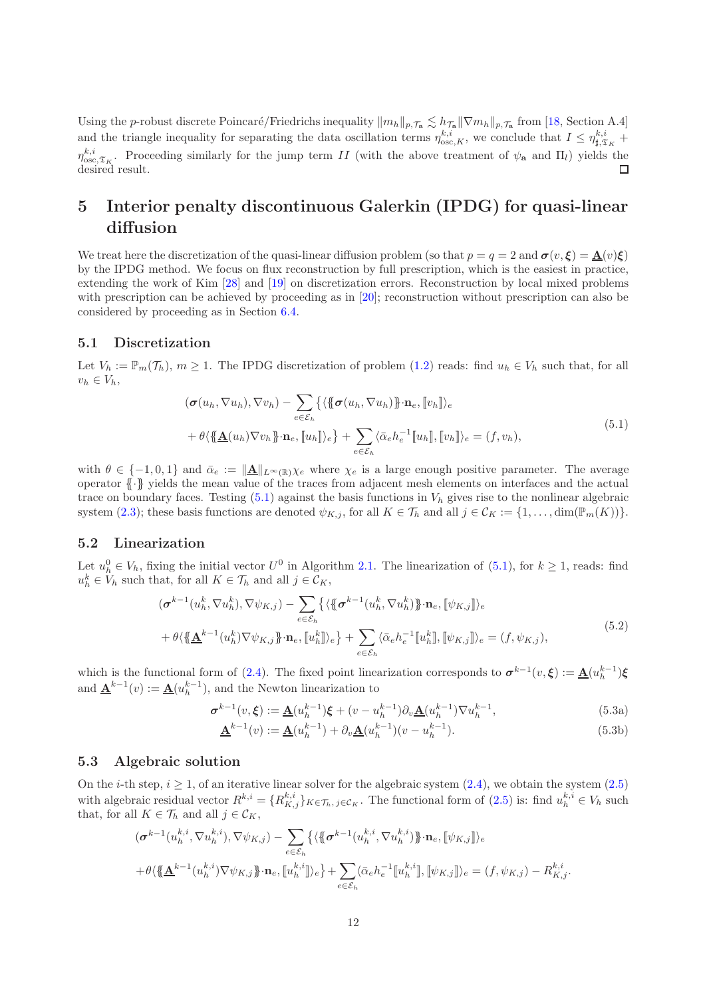Using the p-robust discrete Poincaré/Friedrichs inequality  $\|m_h\|_{p,\mathcal{T}_a} \lesssim h_{\mathcal{T}_a} \|\nabla m_h\|_{p,\mathcal{T}_a}$  from [\[18,](#page-18-5) Section A.4] and the triangle inequality for separating the data oscillation terms  $\eta_{osc,K}^{k,i}$ , we conclude that  $I \leq \eta_{\sharp,\mathfrak{T}_K}^{k,i}$  +  $\eta_{\text{osc},\mathfrak{T}_K}^{k,i}$ . Proceeding similarly for the jump term II (with the above treatment of  $\psi_a$  and  $\Pi_l$ ) yields the desired result.  $\Box$ 

### 5 Interior penalty discontinuous Galerkin (IPDG) for quasi-linear diffusion

We treat here the discretization of the quasi-linear diffusion problem (so that  $p = q = 2$  and  $\sigma(v, \xi) = \mathbf{A}(v)\xi$ ) by the IPDG method. We focus on flux reconstruction by full prescription, which is the easiest in practice, extending the work of Kim [\[28\]](#page-18-2) and [\[19\]](#page-18-14) on discretization errors. Reconstruction by local mixed problems with prescription can be achieved by proceeding as in [\[20\]](#page-18-11); reconstruction without prescription can also be considered by proceeding as in Section [6.4.](#page-14-1)

#### 5.1 Discretization

Let  $V_h := \mathbb{P}_m(\mathcal{T}_h)$ ,  $m \geq 1$ . The IPDG discretization of problem  $(1.2)$  reads: find  $u_h \in V_h$  such that, for all  $v_h \in V_h$ ,

$$
(\boldsymbol{\sigma}(u_h, \nabla u_h), \nabla v_h) - \sum_{e \in \mathcal{E}_h} \{ \langle \{\boldsymbol{\sigma}(u_h, \nabla u_h)\} \cdot \mathbf{n}_e, \llbracket v_h \rrbracket \rangle_e + \theta \langle \{\underline{\mathbf{A}}(u_h) \nabla v_h\} \cdot \mathbf{n}_e, \llbracket u_h \rrbracket \rangle_e \} + \sum_{e \in \mathcal{E}_h} \langle \bar{\alpha}_e h_e^{-1} \llbracket u_h \rrbracket, \llbracket v_h \rrbracket \rangle_e = (f, v_h),
$$
\n(5.1)

<span id="page-11-0"></span>with  $\theta \in \{-1, 0, 1\}$  and  $\bar{\alpha}_e := \|\underline{\mathbf{A}}\|_{L^\infty(\mathbb{R})}$   $\chi_e$  where  $\chi_e$  is a large enough positive parameter. The average operator {{·}} yields the mean value of the traces from adjacent mesh elements on interfaces and the actual trace on boundary faces. Testing  $(5.1)$  against the basis functions in  $V<sub>h</sub>$  gives rise to the nonlinear algebraic system [\(2.3\)](#page-2-1); these basis functions are denoted  $\psi_{K,j}$ , for all  $K \in \mathcal{T}_h$  and all  $j \in \mathcal{C}_K := \{1, \ldots, \dim(\mathbb{P}_m(K))\}.$ 

#### 5.2 Linearization

Let  $u_h^0 \in V_h$ , fixing the initial vector  $U^0$  in Algorithm 2.1. The linearization of  $(5.1)$ , for  $k \ge 1$ , reads: find  $u_h^k \in V_h$  such that, for all  $K \in \mathcal{T}_h$  and all  $j \in \mathcal{C}_K$ ,

$$
(\boldsymbol{\sigma}^{k-1}(u_h^k, \nabla u_h^k), \nabla \psi_{K,j}) - \sum_{e \in \mathcal{E}_h} \{ \langle \{\boldsymbol{\sigma}^{k-1}(u_h^k, \nabla u_h^k) \} \cdot \mathbf{n}_e, [\psi_{K,j}] \rangle_e + \theta \langle \{\mathbf{\underline{A}}^{k-1}(u_h^k) \nabla \psi_{K,j} \} \cdot \mathbf{n}_e, [u_h^k] \rangle_e \} + \sum_{e \in \mathcal{E}_h} \langle \bar{\alpha}_e h_e^{-1} [u_h^k], [\psi_{K,j}] \rangle_e = (f, \psi_{K,j}),
$$
(5.2)

which is the functional form of [\(2.4\)](#page-3-0). The fixed point linearization corresponds to  $\sigma^{k-1}(v,\xi) := \underline{\mathbf{A}}(u_h^{k-1})\xi$ and  $\underline{\mathbf{A}}^{k-1}(v) := \underline{\mathbf{A}}(u_h^{k-1}),$  and the Newton linearization to

$$
\sigma^{k-1}(v,\xi) := \underline{\mathbf{A}}(u_h^{k-1})\xi + (v - u_h^{k-1})\partial_v \underline{\mathbf{A}}(u_h^{k-1})\nabla u_h^{k-1},
$$
\n(5.3a)

$$
\underline{\mathbf{A}}^{k-1}(v) := \underline{\mathbf{A}}(u_h^{k-1}) + \partial_v \underline{\mathbf{A}}(u_h^{k-1})(v - u_h^{k-1}).
$$
\n(5.3b)

### 5.3 Algebraic solution

On the *i*-th step,  $i \geq 1$ , of an iterative linear solver for the algebraic system  $(2.4)$ , we obtain the system  $(2.5)$ with algebraic residual vector  $R^{k,i} = \{R^{k,i}_{K,j}\}_{K \in \mathcal{T}_h, j \in \mathcal{C}_K}$ . The functional form of  $(2.5)$  is: find  $u_h^{k,i} \in V_h$  such that, for all  $K \in \mathcal{T}_h$  and all  $j \in \mathcal{C}_K$ ,

$$
\begin{split}\n & (\boldsymbol{\sigma}^{k-1}(\boldsymbol{u}_h^{k,i}, \nabla \boldsymbol{u}_h^{k,i}), \nabla \psi_{K,j}) - \sum_{e \in \mathcal{E}_h} \{ \langle \{\boldsymbol{\sigma}^{k-1}(\boldsymbol{u}_h^{k,i}, \nabla \boldsymbol{u}_h^{k,i})\} \cdot \mathbf{n}_e, [\![\psi_{K,j}]\!] \rangle_e \\
 & + \theta \langle \{\!\{\underline{\mathbf{A}}^{k-1}(\boldsymbol{u}_h^{k,i}) \nabla \psi_{K,j}\} \cdot \mathbf{n}_e, [\![\boldsymbol{u}_h^{k,i}]\!] \rangle_e \} + \sum_{e \in \mathcal{E}_h} \langle \bar{\alpha}_e h_e^{-1} [\![\boldsymbol{u}_h^{k,i}]\!] , [\![\psi_{K,j}]\!] \rangle_e = (f, \psi_{K,j}) - R_{K,j}^{k,i}.\n \end{split}
$$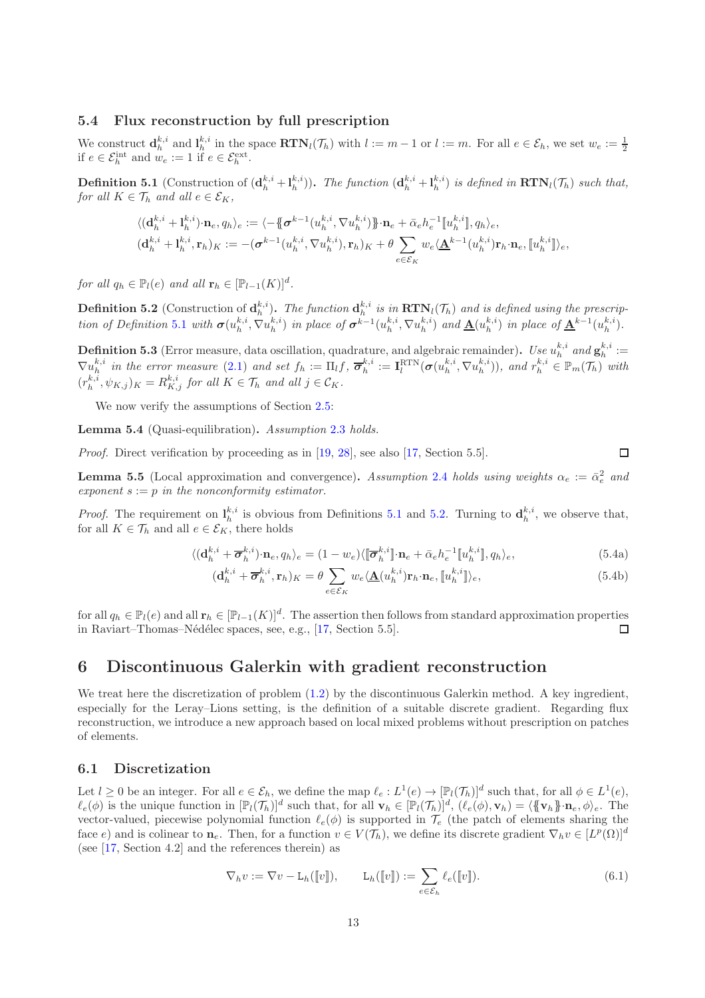#### <span id="page-12-0"></span>5.4 Flux reconstruction by full prescription

We construct  $\mathbf{d}_h^{k,i}$  and  $\mathbf{l}_h^{k,i}$  in the space  $\mathbf{RTN}_l(\mathcal{T}_h)$  with  $l := m - 1$  or  $l := m$ . For all  $e \in \mathcal{E}_h$ , we set  $w_e := \frac{1}{2}$  if  $e \in \mathcal{E}_h^{int}$  and  $w_e := 1$  if  $e \in \mathcal{E}_h^{ext}$ .

<span id="page-12-1"></span>**Definition 5.1** (Construction of  $(\mathbf{d}_h^{k,i} + \mathbf{l}_h^{k,i})$ ). The function  $(\mathbf{d}_h^{k,i} + \mathbf{l}_h^{k,i})$  is defined in  $\text{RTN}_l(\mathcal{T}_h)$  such that, for all  $K \in \mathcal{T}_h$  and all  $e \in \mathcal{E}_K$ ,

$$
\langle (\mathbf{d}_h^{k,i} + \mathbf{l}_h^{k,i}) \cdot \mathbf{n}_e, q_h \rangle_e := \langle -\{\!\!\{\boldsymbol{\sigma}^{k-1}(u_h^{k,i}, \nabla u_h^{k,i})\}\!\!\} \cdot \mathbf{n}_e + \bar{\alpha}_e h_e^{-1} [\![u_h^{k,i}]\!], q_h \rangle_e,
$$
  

$$
(\mathbf{d}_h^{k,i} + \mathbf{l}_h^{k,i}, \mathbf{r}_h)_K := -(\boldsymbol{\sigma}^{k-1}(u_h^{k,i}, \nabla u_h^{k,i}), \mathbf{r}_h)_K + \theta \sum_{e \in \mathcal{E}_K} w_e \langle \underline{\mathbf{A}}^{k-1}(u_h^{k,i}) \mathbf{r}_h \cdot \mathbf{n}_e, [\![u_h^{k,i}]\!] \rangle_e,
$$

for all  $q_h \in \mathbb{P}_l(e)$  and all  $\mathbf{r}_h \in [\mathbb{P}_{l-1}(K)]^d$ .

<span id="page-12-2"></span>**Definition 5.2** (Construction of  $\mathbf{d}_h^{k,i}$ ). The function  $\mathbf{d}_h^{k,i}$  is in  $\textbf{RTN}_l(\mathcal{T}_h)$  and is defined using the prescrip-tion of Definition [5.1](#page-12-1) with  $\sigma(u_h^{k,i}, \nabla u_h^{k,i})$  in place of  $\sigma^{k-1}(u_h^{k,i}, \nabla u_h^{k,i})$  and  $\underline{\mathbf{A}}(u_h^{k,i})$  in place of  $\underline{\mathbf{A}}^{k-1}(u_h^{k,i})$ .

**Definition 5.3** (Error measure, data oscillation, quadrature, and algebraic remainder). Use  $u_h^{k,i}$  and  $\mathbf{g}_h^{k,i} :=$  $\nabla u_h^{k,i}$  in the error measure [\(2.1\)](#page-2-0) and set  $f_h := \Pi_l f$ ,  $\overline{\sigma}_h^{k,i} := \mathbf{I}_l^{\text{RTN}}(\sigma(u_h^{k,i}, \nabla u_h^{k,i}))$ , and  $r_h^{k,i} \in \mathbb{P}_m(\mathcal{T}_h)$  with  $(r_h^{k,i}, \psi_{K,j})_K = R_{K,j}^{k,i}$  for all  $K \in \mathcal{T}_h$  and all  $j \in \mathcal{C}_K$ .

We now verify the assumptions of Section [2.5:](#page-4-3)

Lemma 5.4 (Quasi-equilibration). Assumption [2.3](#page-4-1) holds.

Proof. Direct verification by proceeding as in [\[19,](#page-18-14) [28\]](#page-18-2), see also [\[17,](#page-18-8) Section 5.5].

**Lemma 5.5** (Local approximation and convergence). Assumption [2.4](#page-4-2) holds using weights  $\alpha_e := \bar{\alpha}_e^2$  and exponent  $s := p$  in the nonconformity estimator.

*Proof.* The requirement on  $l_h^{k,i}$  is obvious from Definitions [5.1](#page-12-1) and [5.2.](#page-12-2) Turning to  $\mathbf{d}_h^{k,i}$ , we observe that, for all  $K \in \mathcal{T}_h$  and all  $e \in \mathcal{E}_K$ , there holds

$$
\langle (\mathbf{d}_h^{k,i} + \overline{\boldsymbol{\sigma}}_h^{k,i}) \cdot \mathbf{n}_e, q_h \rangle_e = (1 - w_e) \langle [\overline{\boldsymbol{\sigma}}_h^{k,i}] \cdot \mathbf{n}_e + \overline{\alpha}_e h_e^{-1} [\![u_h^{k,i}]\!], q_h \rangle_e,\tag{5.4a}
$$

<span id="page-12-3"></span>
$$
(\mathbf{d}_h^{k,i} + \overline{\boldsymbol{\sigma}}_h^{k,i}, \mathbf{r}_h)_K = \theta \sum_{e \in \mathcal{E}_K} w_e \langle \underline{\mathbf{A}}(u_h^{k,i}) \mathbf{r}_h \cdot \mathbf{n}_e, [\![u_h^{k,i}]\!] \rangle_e,\tag{5.4b}
$$

 $\Box$ 

for all  $q_h \in \mathbb{P}_l(e)$  and all  $\mathbf{r}_h \in [\mathbb{P}_{l-1}(K)]^d$ . The assertion then follows from standard approximation properties in Raviart–Thomas–Nédélec spaces, see, e.g., [\[17,](#page-18-8) Section 5.5].  $\Box$ 

### 6 Discontinuous Galerkin with gradient reconstruction

We treat here the discretization of problem  $(1.2)$  by the discontinuous Galerkin method. A key ingredient, especially for the Leray–Lions setting, is the definition of a suitable discrete gradient. Regarding flux reconstruction, we introduce a new approach based on local mixed problems without prescription on patches of elements.

#### 6.1 Discretization

Let  $l \geq 0$  be an integer. For all  $e \in \mathcal{E}_h$ , we define the map  $\ell_e: L^1(e) \to [\mathbb{P}_l(\mathcal{T}_h)]^d$  such that, for all  $\phi \in L^1(e)$ ,  $\ell_e(\phi)$  is the unique function in  $[\mathbb{P}_l(\mathcal{T}_h)]^d$  such that, for all  $\mathbf{v}_h \in [\mathbb{P}_l(\mathcal{T}_h)]^d$ ,  $(\ell_e(\phi), \mathbf{v}_h) = \langle {\{\mathbf{v}_h\}} \rangle$   $\mathbf{n}_e, \phi \rangle_e$ . The vector-valued, piecewise polynomial function  $\ell_e(\phi)$  is supported in  $\mathcal{T}_e$  (the patch of elements sharing the face e) and is colinear to  $\mathbf{n}_e$ . Then, for a function  $v \in V(\mathcal{T}_h)$ , we define its discrete gradient  $\nabla_h v \in [L^p(\Omega)]^d$ (see [\[17,](#page-18-8) Section 4.2] and the references therein) as

$$
\nabla_h v := \nabla v - \mathcal{L}_h(\llbracket v \rrbracket), \qquad \mathcal{L}_h(\llbracket v \rrbracket) := \sum_{e \in \mathcal{E}_h} \ell_e(\llbracket v \rrbracket). \tag{6.1}
$$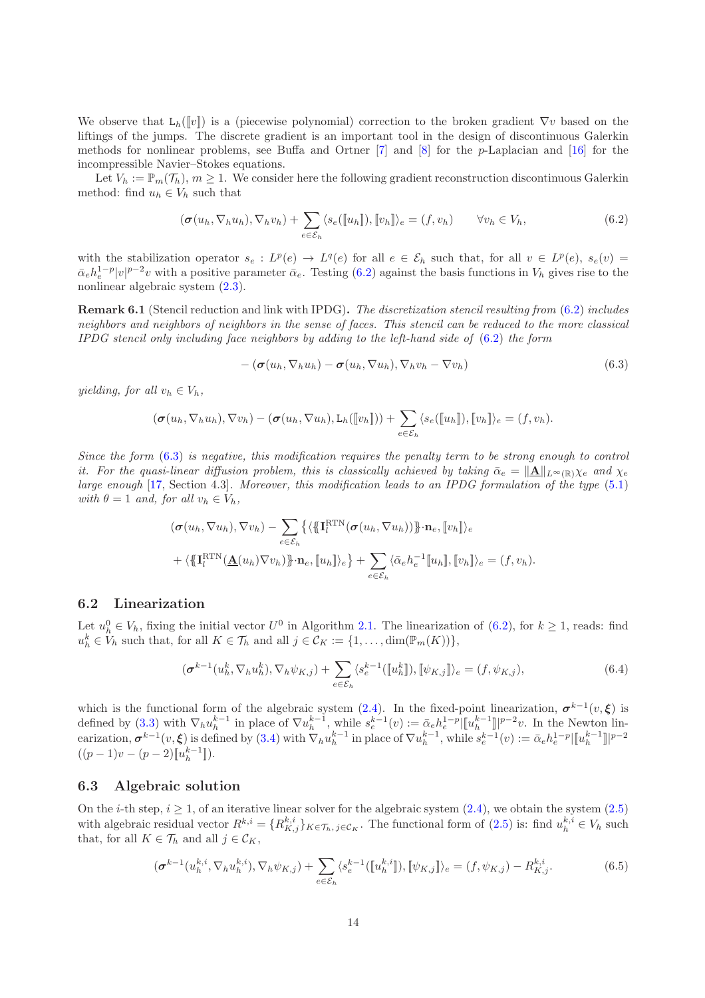We observe that  $L_h([v])$  is a (piecewise polynomial) correction to the broken gradient  $\nabla v$  based on the liftings of the jumps. The discrete gradient is an important tool in the design of discontinuous Galerkin methods for nonlinear problems, see Buffa and Ortner [\[7\]](#page-17-11) and [\[8\]](#page-17-12) for the p-Laplacian and [\[16\]](#page-18-15) for the incompressible Navier–Stokes equations.

Let  $V_h := \mathbb{P}_m(\mathcal{T}_h), m \geq 1$ . We consider here the following gradient reconstruction discontinuous Galerkin method: find  $u_h \in V_h$  such that

$$
(\boldsymbol{\sigma}(u_h, \nabla_h u_h), \nabla_h v_h) + \sum_{e \in \mathcal{E}_h} \langle s_e([\![u_h]\!]), [\![v_h]\!] \rangle_e = (f, v_h) \qquad \forall v_h \in V_h,
$$
\n(6.2)

with the stabilization operator  $s_e: L^p(e) \to L^q(e)$  for all  $e \in \mathcal{E}_h$  such that, for all  $v \in L^p(e)$ ,  $s_e(v)$  $\bar{\alpha}_e h_e^{1-p} |v|^{p-2}v$  with a positive parameter  $\bar{\alpha}_e$ . Testing [\(6.2\)](#page-13-0) against the basis functions in  $V_h$  gives rise to the nonlinear algebraic system [\(2.3\)](#page-2-1).

Remark 6.1 (Stencil reduction and link with IPDG). The discretization stencil resulting from [\(6.2\)](#page-13-0) includes neighbors and neighbors of neighbors in the sense of faces. This stencil can be reduced to the more classical IPDG stencil only including face neighbors by adding to the left-hand side of  $(6.2)$  the form

<span id="page-13-1"></span><span id="page-13-0"></span>
$$
-(\boldsymbol{\sigma}(u_h, \nabla_h u_h)-\boldsymbol{\sigma}(u_h, \nabla u_h), \nabla_h v_h-\nabla v_h) \tag{6.3}
$$

yielding, for all  $v_h \in V_h$ ,

$$
(\boldsymbol{\sigma}(u_h, \nabla_h u_h), \nabla v_h) - (\boldsymbol{\sigma}(u_h, \nabla u_h), \mathsf{L}_h([\![v_h]\!])) + \sum_{e \in \mathcal{E}_h} \langle s_e([\![u_h]\!]), [\![v_h]\!] \rangle_e = (f, v_h).
$$

Since the form [\(6.3\)](#page-13-1) is negative, this modification requires the penalty term to be strong enough to control it. For the quasi-linear diffusion problem, this is classically achieved by taking  $\bar{\alpha}_e = \|\underline{\mathbf{A}}\|_{L^\infty(\mathbb{R})}\chi_e$  and  $\chi_e$ large enough [\[17,](#page-18-8) Section 4.3]. Moreover, this modification leads to an IPDG formulation of the type  $(5.1)$ with  $\theta = 1$  and, for all  $v_h \in V_h$ ,

$$
(\boldsymbol{\sigma}(u_h, \nabla u_h), \nabla v_h) - \sum_{e \in \mathcal{E}_h} \{ \langle \{\mathbf{I}_l^{\text{RTN}}(\boldsymbol{\sigma}(u_h, \nabla u_h))\} \cdot \mathbf{n}_e, [v_h] \rangle_e + \langle \{\mathbf{I}_l^{\text{RTN}}(\underline{\mathbf{A}}(u_h) \nabla v_h)\} \cdot \mathbf{n}_e, [u_h] \rangle_e \} + \sum_{e \in \mathcal{E}_h} \langle \bar{\alpha}_e h_e^{-1} [u_h], [v_h] \rangle_e = (f, v_h).
$$

#### 6.2 Linearization

Let  $u_h^0 \in V_h$ , fixing the initial vector  $U^0$  in Algorithm 2.1. The linearization of  $(6.2)$ , for  $k \ge 1$ , reads: find  $u_h^k \in V_h$  such that, for all  $K \in \mathcal{T}_h$  and all  $j \in \mathcal{C}_K := \{1, \ldots, \dim(\mathbb{P}_m(K))\},\$ 

$$
(\boldsymbol{\sigma}^{k-1}(u_h^k, \nabla_h u_h^k), \nabla_h \psi_{K,j}) + \sum_{e \in \mathcal{E}_h} \langle s_e^{k-1}([\![u_h^k]\!]), [\![\psi_{K,j}]\!] \rangle_e = (f, \psi_{K,j}),
$$
\n(6.4)

which is the functional form of the algebraic system [\(2.4\)](#page-3-0). In the fixed-point linearization,  $\sigma^{k-1}(v,\xi)$  is defined by [\(3.3\)](#page-6-6) with  $\nabla_h u_h^{k-1}$  in place of  $\nabla u_h^{k-1}$ , while  $s_e^{k-1}(v) := \bar{\alpha}_e h_e^{1-p} |[u_h^{k-1}]|^{p-2}v$ . In the Newton linearization,  $\boldsymbol{\sigma}^{k-1}(v,\boldsymbol{\xi})$  is defined by  $(3.4)$  with  $\nabla_h u_h^{k-1}$  in place of  $\nabla u_h^{k-1}$ , while  $s_e^{k-1}(v) := \bar{\alpha}_e h_e^{1-p} \|\mu_h^{k-1}\|^{p-2}$  $((p-1)v - (p-2)[\![u_h^{k-1}]\!]).$ 

### 6.3 Algebraic solution

On the *i*-th step,  $i \geq 1$ , of an iterative linear solver for the algebraic system [\(2.4\)](#page-3-0), we obtain the system [\(2.5\)](#page-3-6) with algebraic residual vector  $R^{k,i} = \{R^{k,i}_{K,j}\}_{K \in \mathcal{T}_h, j \in \mathcal{C}_K}$ . The functional form of  $(2.5)$  is: find  $u_h^{k,i} \in V_h$  such that, for all  $K \in \mathcal{T}_h$  and all  $j \in \mathcal{C}_K$ ,

<span id="page-13-2"></span>
$$
(\sigma^{k-1}(u_h^{k,i}, \nabla_h u_h^{k,i}), \nabla_h \psi_{K,j}) + \sum_{e \in \mathcal{E}_h} \langle s_e^{k-1}([\![u_h^{k,i}]\!]), [\![\psi_{K,j}]\!] \rangle_e = (f, \psi_{K,j}) - R_{K,j}^{k,i}.
$$
 (6.5)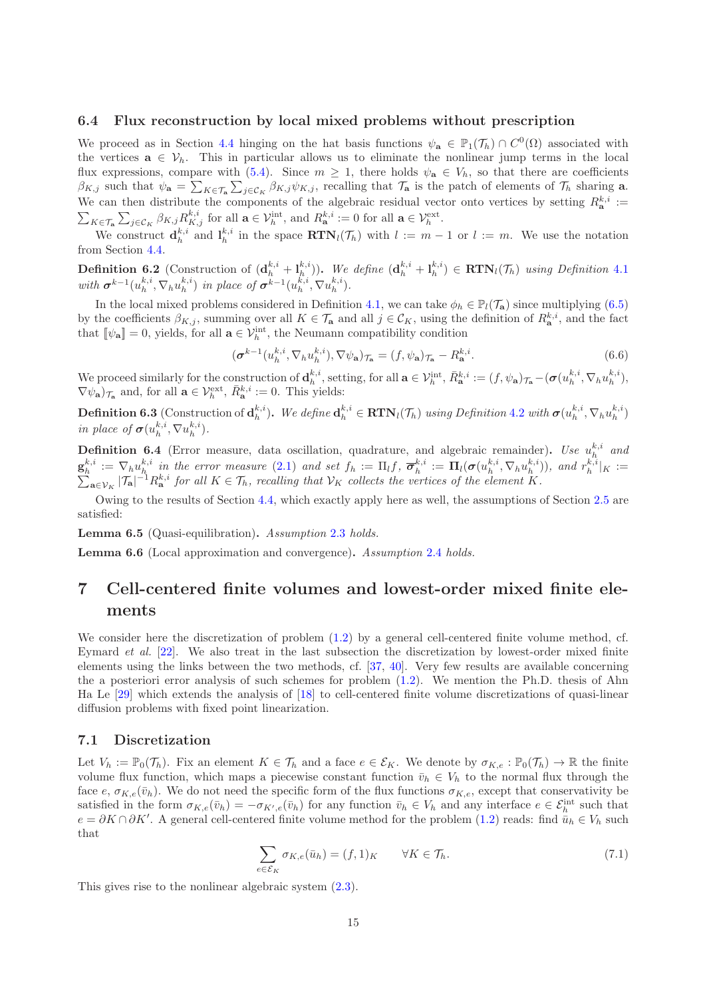#### <span id="page-14-1"></span>6.4 Flux reconstruction by local mixed problems without prescription

We proceed as in Section [4.4](#page-9-0) hinging on the hat basis functions  $\psi_{\mathbf{a}} \in \mathbb{P}_1(\mathcal{T}_h) \cap C^0(\Omega)$  associated with the vertices  $\mathbf{a} \in \mathcal{V}_h$ . This in particular allows us to eliminate the nonlinear jump terms in the local flux expressions, compare with [\(5.4\)](#page-12-3). Since  $m \geq 1$ , there holds  $\psi_a \in V_h$ , so that there are coefficients  $\beta_{K,j}$  such that  $\psi_{\mathbf{a}} = \sum_{K \in \mathcal{T}_{\mathbf{a}}} \sum_{j \in \mathcal{C}_K} \beta_{K,j} \psi_{K,j}$ , recalling that  $\mathcal{T}_{\mathbf{a}}$  is the patch of elements of  $\mathcal{T}_h$  sharing **a**. We can then distribute the components of the algebraic residual vector onto vertices by setting  $R_{\mathbf{a}}^{k,i}$  :=  $\sum_{K\in\mathcal{T}_{\mathbf{a}}}\sum_{j\in\mathcal{C}_K}\beta_{K,j}R_{K,j}^{k,i}$  for all  $\mathbf{a}\in\mathcal{V}_h^{\text{int}},$  and  $R_{\mathbf{a}}^{k,i}:=0$  for all  $\mathbf{a}\in\mathcal{V}_h^{\text{ext}}$ .

We construct  $\mathbf{d}_h^{k,i}$  and  $\mathbf{l}_h^{k,i}$  in the space  $\mathbf{RTN}_l(\mathcal{T}_h)$  with  $l := m - 1$  or  $l := m$ . We use the notation from Section [4.4.](#page-9-0)

**Definition 6.2** (Construction of  $(\mathbf{d}_h^{k,i} + \mathbf{l}_h^{k,i})$ ). We define  $(\mathbf{d}_h^{k,i} + \mathbf{l}_h^{k,i}) \in \text{RTN}_l(\mathcal{T}_h)$  using Definition [4.1](#page-9-1) with  $\boldsymbol{\sigma}^{k-1}(u_h^{k,i}, \nabla_h u_h^{k,i})$  in place of  $\boldsymbol{\sigma}^{k-1}(u_h^{k,i}, \nabla u_h^{k,i})$ .

In the local mixed problems considered in Definition [4.1,](#page-9-1) we can take  $\phi_h \in \mathbb{P}_l(\mathcal{T}_a)$  since multiplying [\(6.5\)](#page-13-2) by the coefficients  $\beta_{K,j}$ , summing over all  $K \in \mathcal{T}_{\mathbf{a}}$  and all  $j \in \mathcal{C}_K$ , using the definition of  $R_{\mathbf{a}}^{k,i}$ , and the fact that  $[\![\psi_{\mathbf{a}}]\!] = 0$ , yields, for all  $\mathbf{a} \in \mathcal{V}_h^{\text{int}}$ , the Neumann compatibility condition

$$
(\boldsymbol{\sigma}^{k-1}(u_h^{k,i}, \nabla_h u_h^{k,i}), \nabla \psi_a)_{\mathcal{T}_a} = (f, \psi_a)_{\mathcal{T}_a} - R_a^{k,i}.
$$
\n(6.6)

We proceed similarly for the construction of  $\mathbf{d}_h^{k,i}$ , setting, for all  $\mathbf{a} \in \mathcal{V}_h^{\text{int}}, \bar{R}_{\mathbf{a}}^{k,i} := (f, \psi_{\mathbf{a}})_{\mathcal{T}_{\mathbf{a}}}- (\boldsymbol{\sigma}(u_h^{k,i}, \nabla_h u_h^{k,i}),$  $\nabla \psi_{\mathbf{a}}\rangle_{\mathcal{T}_{\mathbf{a}}}$  and, for all  $\mathbf{a} \in \mathcal{V}_h^{\text{ext}}, \bar{R}_{\mathbf{a}}^{k,i} := 0$ . This yields:

**Definition 6.3** (Construction of  $\mathbf{d}_h^{k,i}$ ). We define  $\mathbf{d}_h^{k,i} \in \mathbf{RTN}_l(\mathcal{T}_h)$  using Definition [4.2](#page-9-5) with  $\boldsymbol{\sigma}(u_h^{k,i}, \nabla_h u_h^{k,i})$ in place of  $\sigma(u_h^{k,i}, \nabla u_h^{k,i}).$ 

**Definition 6.4** (Error measure, data oscillation, quadrature, and algebraic remainder). Use  $u_h^{k,i}$  and  $\mathbf{g}_h^{k,i} := \nabla_h u_h^{k,i}$  in the error measure [\(2.1\)](#page-2-0) and set  $f_h := \Pi_l f, \ \overline{\boldsymbol{\sigma}}_h^{k,i} := \Pi_l (\boldsymbol{\sigma}(u_h^{k,i}, \nabla_h u_h^{k,i}))$ , and  $r_h^{k,i}$ <br> $\sum_{\mathbf{a} \in \mathcal{V}_k} |\mathcal{T}_{\mathbf{a}}|^{-1} R_{\mathbf{a}}^{k,i}$  for all  $K \in \mathcal{T}_h$ , recalling that  $\mathcal{V}_$  $|_K :=$  $_{\mathbf{a}\in\mathcal{V}_K}|\mathcal{T}_\mathbf{a}|^{-1}R_\mathbf{a}^{k,i}$  for all  $K\in\mathcal{T}_h$ , recalling that  $\mathcal{V}_K$  collects the vertices of the element K.

Owing to the results of Section [4.4,](#page-9-0) which exactly apply here as well, the assumptions of Section [2.5](#page-4-3) are satisfied:

Lemma 6.5 (Quasi-equilibration). Assumption [2.3](#page-4-1) holds.

Lemma 6.6 (Local approximation and convergence). Assumption [2.4](#page-4-2) holds.

## <span id="page-14-0"></span>7 Cell-centered finite volumes and lowest-order mixed finite elements

We consider here the discretization of problem  $(1.2)$  by a general cell-centered finite volume method, cf. Eymard et al. [\[22\]](#page-18-16). We also treat in the last subsection the discretization by lowest-order mixed finite elements using the links between the two methods, cf. [\[37,](#page-19-5) [40\]](#page-19-6). Very few results are available concerning the a posteriori error analysis of such schemes for problem [\(1.2\)](#page-0-1). We mention the Ph.D. thesis of Ahn Ha Le [\[29\]](#page-18-17) which extends the analysis of [\[18\]](#page-18-5) to cell-centered finite volume discretizations of quasi-linear diffusion problems with fixed point linearization.

#### 7.1 Discretization

Let  $V_h := \mathbb{P}_0(\mathcal{T}_h)$ . Fix an element  $K \in \mathcal{T}_h$  and a face  $e \in \mathcal{E}_K$ . We denote by  $\sigma_{K,e} : \mathbb{P}_0(\mathcal{T}_h) \to \mathbb{R}$  the finite volume flux function, which maps a piecewise constant function  $\bar{v}_h \in V_h$  to the normal flux through the face e,  $\sigma_{K,e}(\bar{v}_h)$ . We do not need the specific form of the flux functions  $\sigma_{K,e}$ , except that conservativity be satisfied in the form  $\sigma_{K,e}(\bar{v}_h) = -\sigma_{K',e}(\bar{v}_h)$  for any function  $\bar{v}_h \in V_h$  and any interface  $e \in \mathcal{E}_h^{\text{int}}$  such that  $e = \partial K \cap \partial K'$ . A general cell-centered finite volume method for the problem [\(1.2\)](#page-0-1) reads: find  $\bar{u}_h \in V_h$  such that

<span id="page-14-2"></span>
$$
\sum_{e \in \mathcal{E}_K} \sigma_{K,e}(\bar{u}_h) = (f,1)_K \qquad \forall K \in \mathcal{T}_h.
$$
\n(7.1)

This gives rise to the nonlinear algebraic system [\(2.3\)](#page-2-1).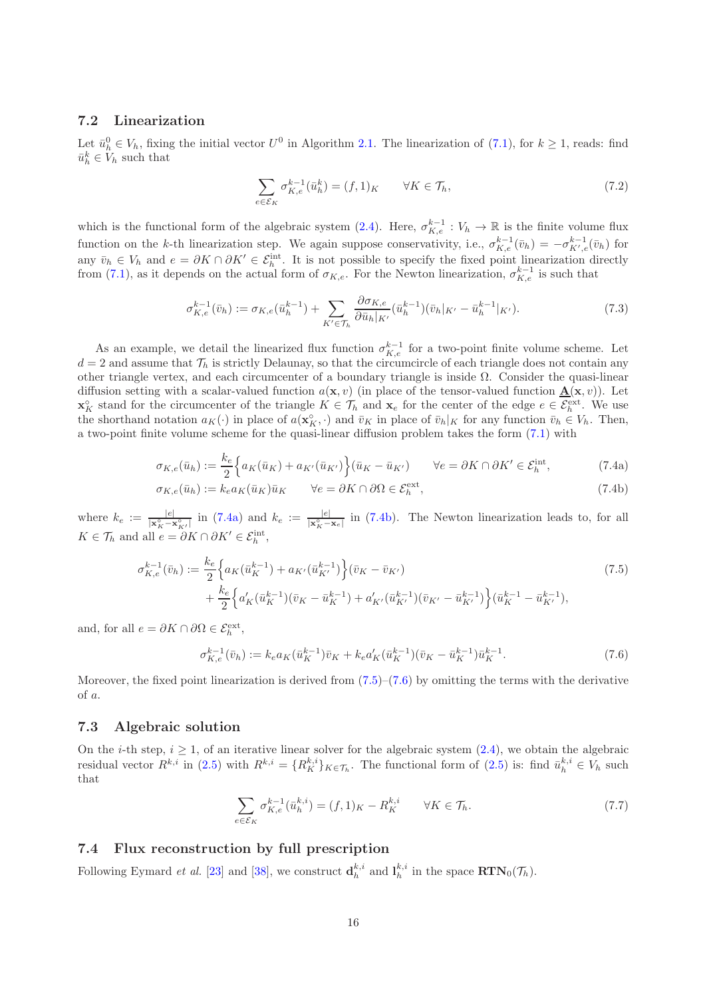#### 7.2 Linearization

Let  $\bar{u}_h^0 \in V_h$ , fixing the initial vector  $U^0$  in Algorithm 2.1. The linearization of  $(7.1)$ , for  $k \ge 1$ , reads: find  $\bar{u}_h^k \in V_h$  such that

<span id="page-15-4"></span>
$$
\sum_{e \in \mathcal{E}_K} \sigma_{K,e}^{k-1}(\bar{u}_h^k) = (f,1)_K \qquad \forall K \in \mathcal{T}_h,
$$
\n
$$
(7.2)
$$

which is the functional form of the algebraic system  $(2.4)$ . Here,  $\sigma_{K,e}^{k-1}: V_h \to \mathbb{R}$  is the finite volume flux function on the k-th linearization step. We again suppose conservativity, i.e.,  $\sigma_{K,e}^{k-1}(\bar{v}_h) = -\sigma_{K',e}^{k-1}(\bar{v}_h)$  for any  $\bar{v}_h \in V_h$  and  $e = \partial K \cap \partial K' \in \mathcal{E}_h^{\text{int}}$ . It is not possible to specify the fixed point linearization directly from [\(7.1\)](#page-14-2), as it depends on the actual form of  $\sigma_{K,e}$ . For the Newton linearization,  $\sigma_{K,e}^{k-1}$  is such that

$$
\sigma_{K,e}^{k-1}(\bar{v}_h) := \sigma_{K,e}(\bar{u}_h^{k-1}) + \sum_{K' \in \mathcal{T}_h} \frac{\partial \sigma_{K,e}}{\partial \bar{u}_h|_{K'}} (\bar{u}_h^{k-1})(\bar{v}_h|_{K'} - \bar{u}_h^{k-1}|_{K'}).
$$
\n(7.3)

As an example, we detail the linearized flux function  $\sigma_{K,e}^{k-1}$  for a two-point finite volume scheme. Let  $d = 2$  and assume that  $\mathcal{T}_h$  is strictly Delaunay, so that the circumcircle of each triangle does not contain any other triangle vertex, and each circumcenter of a boundary triangle is inside  $\Omega$ . Consider the quasi-linear diffusion setting with a scalar-valued function  $a(\mathbf{x}, v)$  (in place of the tensor-valued function  $\mathbf{\underline{A}}(\mathbf{x}, v)$ ). Let  $\mathbf{x}_{K}^{\circ}$  stand for the circumcenter of the triangle  $K \in \mathcal{T}_{h}$  and  $\mathbf{x}_{e}$  for the center of the edge  $e \in \mathcal{E}_{h}^{\text{ext}}$ . We use the shorthand notation  $a_K(\cdot)$  in place of  $a(\mathbf{x}_K^{\circ}, \cdot)$  and  $\bar{v}_K$  in place of  $\bar{v}_h|_K$  for any function  $\bar{v}_h \in V_h$ . Then, a two-point finite volume scheme for the quasi-linear diffusion problem takes the form [\(7.1\)](#page-14-2) with

$$
\sigma_{K,e}(\bar{u}_h) := \frac{k_e}{2} \left\{ a_K(\bar{u}_K) + a_{K'}(\bar{u}_{K'}) \right\} (\bar{u}_K - \bar{u}_{K'}) \qquad \forall e = \partial K \cap \partial K' \in \mathcal{E}_h^{\text{int}},\tag{7.4a}
$$

$$
\sigma_{K,e}(\bar{u}_h) := k_e a_K(\bar{u}_K) \bar{u}_K \qquad \forall e = \partial K \cap \partial \Omega \in \mathcal{E}_h^{\text{ext}},\tag{7.4b}
$$

where  $k_e := \frac{|e|}{|\mathbf{x}_K^{\circ} - \mathbf{x}_{K'}^{\circ}|}$  in [\(7.4a\)](#page-15-0) and  $k_e := \frac{|e|}{|\mathbf{x}_K^{\circ} - \mathbf{x}_e|}$  in [\(7.4b\)](#page-15-1). The Newton linearization leads to, for all  $K \in \mathcal{T}_h$  and all  $e = \partial K \cap \partial K' \in \mathcal{E}_h^{\text{int}},$ 

$$
\sigma_{K,e}^{k-1}(\bar{v}_h) := \frac{k_e}{2} \left\{ a_K(\bar{u}_K^{k-1}) + a_{K'}(\bar{u}_{K'}^{k-1}) \right\} (\bar{v}_K - \bar{v}_{K'}) + \frac{k_e}{2} \left\{ a'_K(\bar{u}_K^{k-1})(\bar{v}_K - \bar{u}_K^{k-1}) + a'_{K'}(\bar{u}_{K'}^{k-1})(\bar{v}_{K'} - \bar{u}_{K'}^{k-1}) \right\} (\bar{u}_K^{k-1} - \bar{u}_{K'}^{k-1}),
$$
\n(7.5)

and, for all  $e = \partial K \cap \partial \Omega \in \mathcal{E}_h^{\text{ext}},$ 

<span id="page-15-3"></span><span id="page-15-2"></span><span id="page-15-1"></span><span id="page-15-0"></span>
$$
\sigma_{K,e}^{k-1}(\bar{v}_h) := k_e a_K(\bar{u}_K^{k-1}) \bar{v}_K + k_e a'_K(\bar{u}_K^{k-1})(\bar{v}_K - \bar{u}_K^{k-1}) \bar{u}_K^{k-1}.
$$
\n(7.6)

Moreover, the fixed point linearization is derived from  $(7.5)-(7.6)$  $(7.5)-(7.6)$  by omitting the terms with the derivative of a.

#### <span id="page-15-5"></span>7.3 Algebraic solution

On the *i*-th step,  $i \geq 1$ , of an iterative linear solver for the algebraic system  $(2.4)$ , we obtain the algebraic residual vector  $R^{k,i}$  in [\(2.5\)](#page-3-6) with  $R^{k,i} = \{R_K^{k,i}\}_{K \in \mathcal{T}_h}$ . The functional form of (2.5) is: find  $\bar{u}_h^{k,i} \in V_h$  such that

$$
\sum_{e \in \mathcal{E}_K} \sigma_{K,e}^{k-1}(\bar{u}_h^{k,i}) = (f,1)_K - R_K^{k,i} \qquad \forall K \in \mathcal{T}_h.
$$
\n
$$
(7.7)
$$

### <span id="page-15-6"></span>7.4 Flux reconstruction by full prescription

Following Eymard *et al.* [\[23\]](#page-18-18) and [\[38\]](#page-19-7), we construct  $\mathbf{d}_h^{k,i}$  and  $\mathbf{l}_h^{k,i}$  in the space  $\text{RTN}_0(\mathcal{T}_h)$ .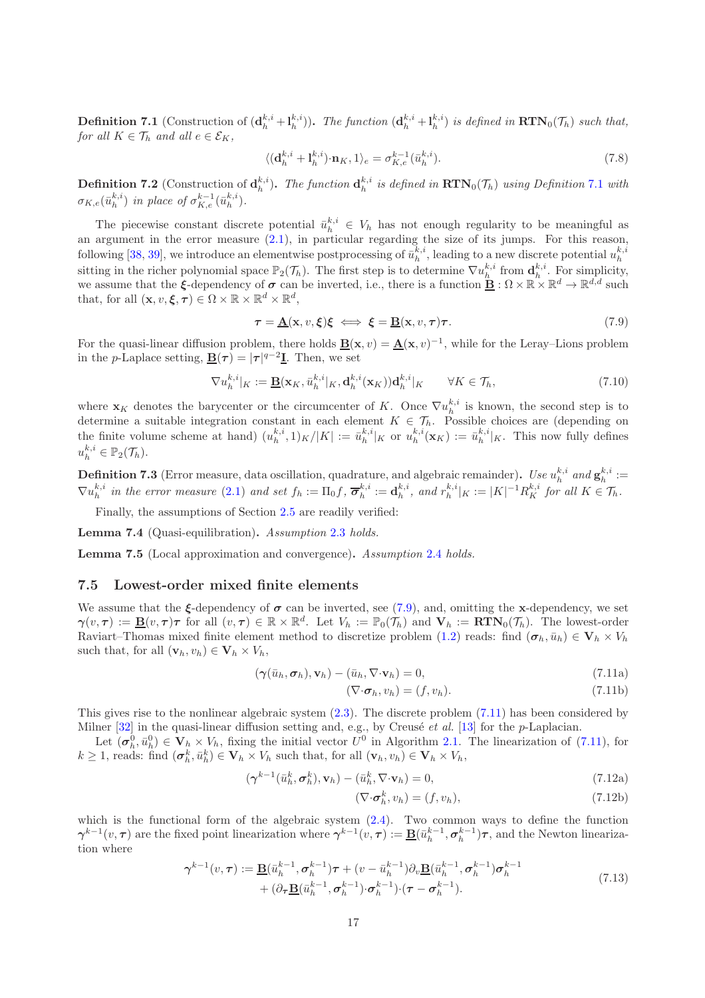<span id="page-16-0"></span>**Definition 7.1** (Construction of  $(\mathbf{d}_h^{k,i} + \mathbf{l}_h^{k,i})$ ). The function  $(\mathbf{d}_h^{k,i} + \mathbf{l}_h^{k,i})$  is defined in  $\text{RTN}_0(\mathcal{T}_h)$  such that, for all  $K \in \mathcal{T}_h$  and all  $e \in \mathcal{E}_K$ ,

$$
\langle (\mathbf{d}_h^{k,i} + \mathbf{l}_h^{k,i}) \cdot \mathbf{n}_K, 1 \rangle_e = \sigma_{K,e}^{k-1} (\bar{u}_h^{k,i}). \tag{7.8}
$$

**Definition 7.2** (Construction of  $\mathbf{d}_h^{k,i}$ ). The function  $\mathbf{d}_h^{k,i}$  is defined in  $\text{RTN}_0(\mathcal{T}_h)$  using Definition [7.1](#page-16-0) with  $\sigma_{K,e}(\bar{u}_h^{k,i})$  in place of  $\sigma_{K,e}^{k-1}(\bar{u}_h^{k,i})$ .

The piecewise constant discrete potential  $\bar{u}_h^{k,i} \in V_h$  has not enough regularity to be meaningful as an argument in the error measure [\(2.1\)](#page-2-0), in particular regarding the size of its jumps. For this reason, following [\[38,](#page-19-7) [39\]](#page-19-4), we introduce an elementwise postprocessing of  $\bar{u}_h^{k,i}$ , leading to a new discrete potential  $u_h^{k,i}$ sitting in the richer polynomial space  $\mathbb{P}_2(\mathcal{T}_h)$ . The first step is to determine  $\nabla u_h^{k,i}$  from  $\mathbf{d}_h^{k,i}$ . For simplicity, we assume that the  $\xi$ -dependency of  $\sigma$  can be inverted, i.e., there is a function  $\underline{\mathbf{B}} : \Omega \times \mathbb{R} \times \mathbb{R}^d \to \mathbb{R}^{d,d}$  such that, for all  $(\mathbf{x}, v, \boldsymbol{\xi}, \boldsymbol{\tau}) \in \Omega \times \mathbb{R} \times \mathbb{R}^d \times \mathbb{R}^d$ ,

<span id="page-16-1"></span>
$$
\tau = \underline{\mathbf{A}}(\mathbf{x}, v, \xi)\xi \iff \xi = \underline{\mathbf{B}}(\mathbf{x}, v, \tau)\tau. \tag{7.9}
$$

For the quasi-linear diffusion problem, there holds  $\underline{\mathbf{B}}(\mathbf{x}, v) = \underline{\mathbf{A}}(\mathbf{x}, v)^{-1}$ , while for the Leray–Lions problem in the *p*-Laplace setting,  $\underline{\mathbf{B}}(\tau) = |\tau|^{q-2}\underline{\mathbf{I}}$ . Then, we set

$$
\nabla u_h^{k,i}|_K := \underline{\mathbf{B}}(\mathbf{x}_K, \bar{u}_h^{k,i}|_K, \mathbf{d}_h^{k,i}(\mathbf{x}_K)) \mathbf{d}_h^{k,i}|_K \qquad \forall K \in \mathcal{T}_h,
$$
\n
$$
(7.10)
$$

where  $\mathbf{x}_K$  denotes the barycenter or the circumcenter of K. Once  $\nabla u_h^{k,i}$  is known, the second step is to determine a suitable integration constant in each element  $K \in \mathcal{T}_h$ . Possible choices are (depending on the finite volume scheme at hand)  $(u_h^{k,i}, 1)_K/|K| := \bar{u}_h^{k,i}|_K$  or  $u_h^{k,i}(\mathbf{x}_K) := \bar{u}_h^{k,i}|_K$ . This now fully defines  $u_h^{k,i} \in \mathbb{P}_2(\mathcal{T}_h).$ 

**Definition 7.3** (Error measure, data oscillation, quadrature, and algebraic remainder). Use  $u_h^{k,i}$  and  $\mathbf{g}_h^{k,i} :=$  $\nabla u_h^{k,i}$  in the error measure [\(2.1\)](#page-2-0) and set  $f_h := \Pi_0 f$ ,  $\overline{\sigma}_h^{k,i} := \mathbf{d}_h^{k,i}$ , and  $r_h^{k,i}|_K := |K|^{-1} R_K^{k,i}$  for all  $K \in \mathcal{T}_h$ .

Finally, the assumptions of Section [2.5](#page-4-3) are readily verified:

Lemma 7.4 (Quasi-equilibration). Assumption [2.3](#page-4-1) holds.

Lemma 7.5 (Local approximation and convergence). Assumption [2.4](#page-4-2) holds.

#### 7.5 Lowest-order mixed finite elements

We assume that the  $\xi$ -dependency of  $\sigma$  can be inverted, see [\(7.9\)](#page-16-1), and, omitting the x-dependency, we set  $\boldsymbol{\gamma}(v,\tau) := \underline{\mathbf{B}}(v,\tau)\tau$  for all  $(v,\tau) \in \mathbb{R} \times \mathbb{R}^d$ . Let  $V_h := \mathbb{P}_0(\mathcal{T}_h)$  and  $\mathbf{V}_h := \mathbf{RTN}_0(\mathcal{T}_h)$ . The lowest-order Raviart–Thomas mixed finite element method to discretize problem [\(1.2\)](#page-0-1) reads: find  $(\sigma_h, \bar{u}_h) \in V_h \times V_h$ such that, for all  $(\mathbf{v}_h, v_h) \in \mathbf{V}_h \times V_h$ ,

<span id="page-16-2"></span>
$$
(\gamma(\bar{u}_h, \sigma_h), \mathbf{v}_h) - (\bar{u}_h, \nabla \cdot \mathbf{v}_h) = 0, \qquad (7.11a)
$$

$$
(\nabla \cdot \boldsymbol{\sigma}_h, v_h) = (f, v_h). \tag{7.11b}
$$

This gives rise to the nonlinear algebraic system [\(2.3\)](#page-2-1). The discrete problem [\(7.11\)](#page-16-2) has been considered by Milner  $[32]$  in the quasi-linear diffusion setting and, e.g., by Creusé *et al.* [\[13\]](#page-18-0) for the *p*-Laplacian.

Let  $(\sigma_h^0, \bar{u}_h^0) \in V_h \times V_h$ , fixing the initial vector  $U^0$  in Algorithm 2.1. The linearization of [\(7.11\)](#page-16-2), for  $k \geq 1$ , reads: find  $(\sigma_h^k, \bar{u}_h^k) \in \mathbf{V}_h \times V_h$  such that, for all  $(\mathbf{v}_h, v_h) \in \mathbf{V}_h \times V_h$ ,

$$
(\gamma^{k-1}(\bar{u}_h^k, \sigma_h^k), \mathbf{v}_h) - (\bar{u}_h^k, \nabla \cdot \mathbf{v}_h) = 0, \qquad (7.12a)
$$

<span id="page-16-3"></span>
$$
(\nabla \cdot \boldsymbol{\sigma}_h^k, v_h) = (f, v_h), \tag{7.12b}
$$

which is the functional form of the algebraic system  $(2.4)$ . Two common ways to define the function  $\boldsymbol{\gamma}^{k-1}(v,\tau)$  are the fixed point linearization where  $\boldsymbol{\gamma}^{k-1}(v,\tau) := \underline{\mathbf{B}}(\bar{u}_h^{k-1}, \sigma_h^{k-1})\tau$ , and the Newton linearization where

$$
\gamma^{k-1}(v,\tau) := \underline{\mathbf{B}}(\bar{u}_h^{k-1}, \sigma_h^{k-1})\tau + (v - \bar{u}_h^{k-1})\partial_v \underline{\mathbf{B}}(\bar{u}_h^{k-1}, \sigma_h^{k-1})\sigma_h^{k-1} + (\partial_\tau \underline{\mathbf{B}}(\bar{u}_h^{k-1}, \sigma_h^{k-1})\cdot(\tau - \sigma_h^{k-1}).
$$
\n(7.13)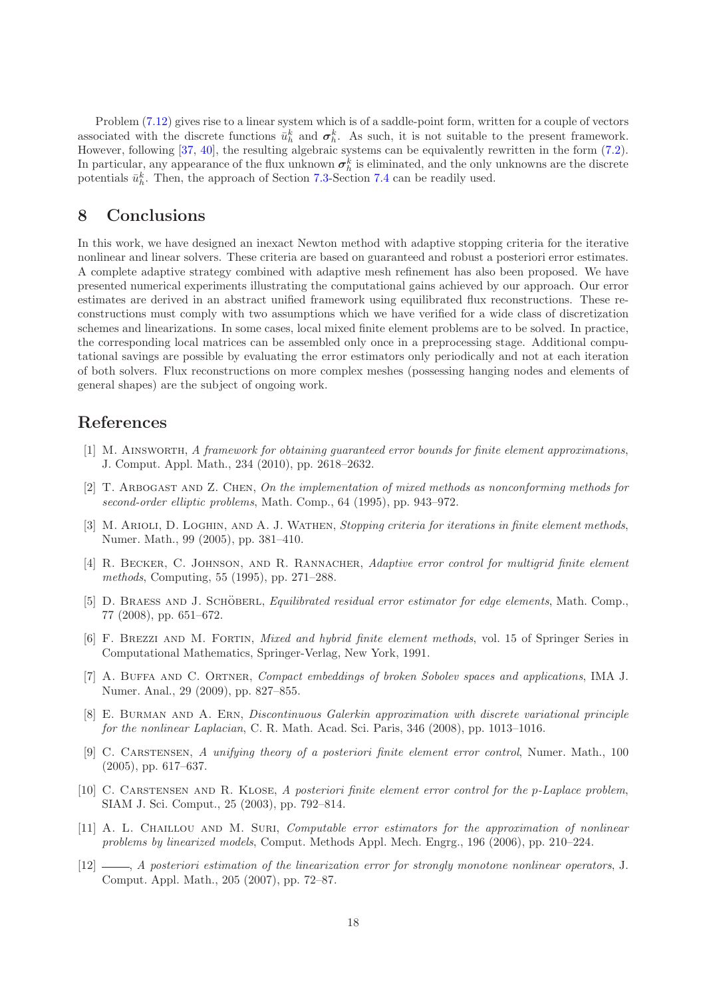Problem [\(7.12\)](#page-16-3) gives rise to a linear system which is of a saddle-point form, written for a couple of vectors associated with the discrete functions  $\bar{u}_h^k$  and  $\sigma_h^k$ . As such, it is not suitable to the present framework. However, following [\[37,](#page-19-5) [40\]](#page-19-6), the resulting algebraic systems can be equivalently rewritten in the form [\(7.2\)](#page-15-4). In particular, any appearance of the flux unknown  $\sigma_h^k$  is eliminated, and the only unknowns are the discrete potentials  $\bar{u}_h^k$ . Then, the approach of Section [7.3-](#page-15-5)Section [7.4](#page-15-6) can be readily used.

### <span id="page-17-8"></span>8 Conclusions

In this work, we have designed an inexact Newton method with adaptive stopping criteria for the iterative nonlinear and linear solvers. These criteria are based on guaranteed and robust a posteriori error estimates. A complete adaptive strategy combined with adaptive mesh refinement has also been proposed. We have presented numerical experiments illustrating the computational gains achieved by our approach. Our error estimates are derived in an abstract unified framework using equilibrated flux reconstructions. These reconstructions must comply with two assumptions which we have verified for a wide class of discretization schemes and linearizations. In some cases, local mixed finite element problems are to be solved. In practice, the corresponding local matrices can be assembled only once in a preprocessing stage. Additional computational savings are possible by evaluating the error estimators only periodically and not at each iteration of both solvers. Flux reconstructions on more complex meshes (possessing hanging nodes and elements of general shapes) are the subject of ongoing work.

### <span id="page-17-2"></span>References

- [1] M. Ainsworth, A framework for obtaining guaranteed error bounds for finite element approximations, J. Comput. Appl. Math., 234 (2010), pp. 2618–2632.
- <span id="page-17-10"></span>[2] T. Arbogast and Z. Chen, On the implementation of mixed methods as nonconforming methods for second-order elliptic problems, Math. Comp., 64 (1995), pp. 943–972.
- <span id="page-17-7"></span>[3] M. ARIOLI, D. LOGHIN, AND A. J. WATHEN, Stopping criteria for iterations in finite element methods, Numer. Math., 99 (2005), pp. 381–410.
- <span id="page-17-6"></span>[4] R. BECKER, C. JOHNSON, AND R. RANNACHER, Adaptive error control for multigrid finite element methods, Computing, 55 (1995), pp. 271–288.
- <span id="page-17-3"></span>[5] D. BRAESS AND J. SCHÖBERL, *Equilibrated residual error estimator for edge elements*, Math. Comp., 77 (2008), pp. 651–672.
- <span id="page-17-9"></span>[6] F. BREZZI AND M. FORTIN, *Mixed and hybrid finite element methods*, vol. 15 of Springer Series in Computational Mathematics, Springer-Verlag, New York, 1991.
- <span id="page-17-11"></span>[7] A. BUFFA AND C. ORTNER, *Compact embeddings of broken Sobolev spaces and applications*, IMA J. Numer. Anal., 29 (2009), pp. 827–855.
- <span id="page-17-12"></span>[8] E. Burman and A. Ern, Discontinuous Galerkin approximation with discrete variational principle for the nonlinear Laplacian, C. R. Math. Acad. Sci. Paris, 346 (2008), pp. 1013–1016.
- <span id="page-17-1"></span>[9] C. CARSTENSEN, A unifying theory of a posteriori finite element error control, Numer. Math., 100 (2005), pp. 617–637.
- <span id="page-17-0"></span>[10] C. CARSTENSEN AND R. KLOSE, A posteriori finite element error control for the p-Laplace problem, SIAM J. Sci. Comput., 25 (2003), pp. 792–814.
- <span id="page-17-4"></span>[11] A. L. CHAILLOU AND M. SURI, *Computable error estimators for the approximation of nonlinear* problems by linearized models, Comput. Methods Appl. Mech. Engrg., 196 (2006), pp. 210–224.
- <span id="page-17-5"></span>[12]  $\_\_\_\_\_\_\_\_\.\$  A posteriori estimation of the linearization error for strongly monotone nonlinear operators, J. Comput. Appl. Math., 205 (2007), pp. 72–87.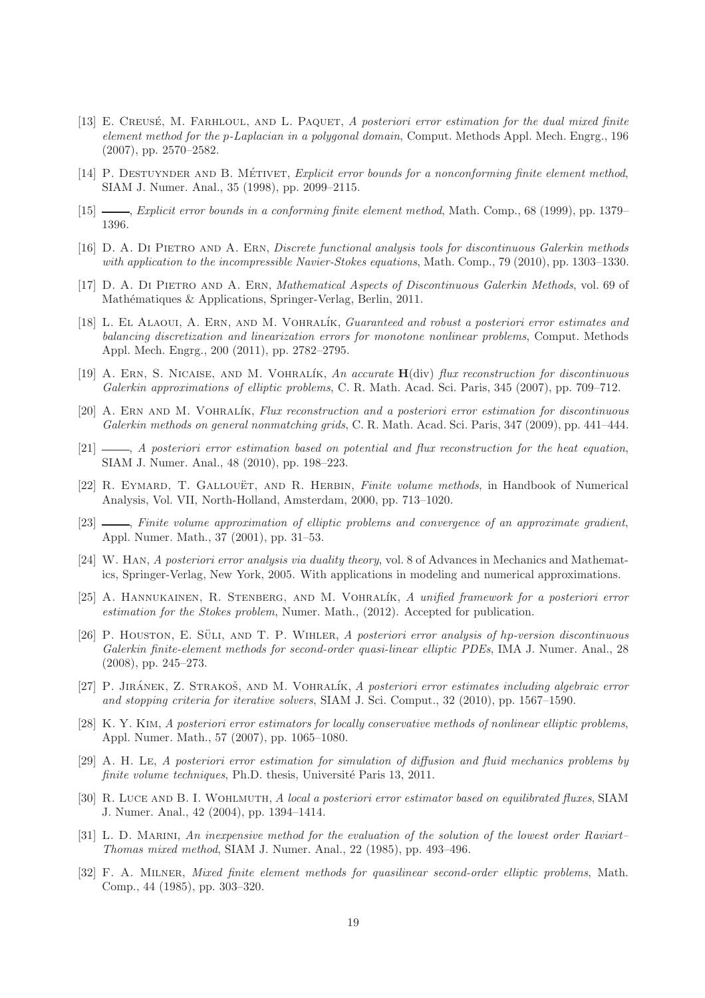- <span id="page-18-0"></span>[13] E. CREUSÉ, M. FARHLOUL, AND L. PAQUET, A posteriori error estimation for the dual mixed finite element method for the p-Laplacian in a polygonal domain, Comput. Methods Appl. Mech. Engrg., 196 (2007), pp. 2570–2582.
- <span id="page-18-10"></span><span id="page-18-9"></span>[14] P. DESTUYNDER AND B. MÉTIVET, Explicit error bounds for a nonconforming finite element method, SIAM J. Numer. Anal., 35 (1998), pp. 2099–2115.
- <span id="page-18-15"></span>[15] , Explicit error bounds in a conforming finite element method, Math. Comp., 68 (1999), pp. 1379– 1396.
- <span id="page-18-8"></span>[16] D. A. Di Pietro and A. Ern, Discrete functional analysis tools for discontinuous Galerkin methods with application to the incompressible Navier-Stokes equations, Math. Comp., 79 (2010), pp. 1303–1330.
- <span id="page-18-5"></span>[17] D. A. Di Pietro and A. Ern, Mathematical Aspects of Discontinuous Galerkin Methods, vol. 69 of Mathématiques & Applications, Springer-Verlag, Berlin, 2011.
- [18] L. EL ALAOUI, A. ERN, AND M. VOHRALÍK, Guaranteed and robust a posteriori error estimates and balancing discretization and linearization errors for monotone nonlinear problems, Comput. Methods Appl. Mech. Engrg., 200 (2011), pp. 2782–2795.
- <span id="page-18-14"></span>[19] A. ERN, S. NICAISE, AND M. VOHRALÍK, An accurate  $H(\text{div})$  flux reconstruction for discontinuous Galerkin approximations of elliptic problems, C. R. Math. Acad. Sci. Paris, 345 (2007), pp. 709–712.
- <span id="page-18-11"></span>[20] A. ERN AND M. VOHRALÍK, Flux reconstruction and a posteriori error estimation for discontinuous Galerkin methods on general nonmatching grids, C. R. Math. Acad. Sci. Paris, 347 (2009), pp. 441–444.
- <span id="page-18-4"></span>[21]  $\_\_\_\_\_\_\_\_\.\$  A posteriori error estimation based on potential and flux reconstruction for the heat equation, SIAM J. Numer. Anal., 48 (2010), pp. 198–223.
- <span id="page-18-16"></span>[22] R. EYMARD, T. GALLOUËT, AND R. HERBIN, *Finite volume methods*, in Handbook of Numerical Analysis, Vol. VII, North-Holland, Amsterdam, 2000, pp. 713–1020.
- <span id="page-18-18"></span>[23]  $\_\_\_\_\_\_\_\_\$  Finite volume approximation of elliptic problems and convergence of an approximate gradient, Appl. Numer. Math., 37 (2001), pp. 31–53.
- <span id="page-18-7"></span>[24] W. Han, A posteriori error analysis via duality theory, vol. 8 of Advances in Mechanics and Mathematics, Springer-Verlag, New York, 2005. With applications in modeling and numerical approximations.
- <span id="page-18-13"></span>[25] A. Hannukainen, R. Stenberg, and M. Vohral´ık, A unified framework for a posteriori error estimation for the Stokes problem, Numer. Math., (2012). Accepted for publication.
- <span id="page-18-1"></span> $[26]$  P. HOUSTON, E. SÜLI, AND T. P. WIHLER, A posteriori error analysis of hp-version discontinuous Galerkin finite-element methods for second-order quasi-linear elliptic PDEs, IMA J. Numer. Anal., 28 (2008), pp. 245–273.
- <span id="page-18-6"></span>[27] P. JIRÁNEK, Z. STRAKOŠ, AND M. VOHRALÍK, A posteriori error estimates including algebraic error and stopping criteria for iterative solvers, SIAM J. Sci. Comput., 32 (2010), pp. 1567–1590.
- <span id="page-18-2"></span>[28] K. Y. Kim, A posteriori error estimators for locally conservative methods of nonlinear elliptic problems, Appl. Numer. Math., 57 (2007), pp. 1065–1080.
- <span id="page-18-17"></span>[29] A. H. Le, A posteriori error estimation for simulation of diffusion and fluid mechanics problems by finite volume techniques, Ph.D. thesis, Université Paris 13, 2011.
- <span id="page-18-3"></span>[30] R. Luce and B. I. Wohlmuth, A local a posteriori error estimator based on equilibrated fluxes, SIAM J. Numer. Anal., 42 (2004), pp. 1394–1414.
- <span id="page-18-12"></span>[31] L. D. MARINI, An inexpensive method for the evaluation of the solution of the lowest order Raviart– Thomas mixed method, SIAM J. Numer. Anal., 22 (1985), pp. 493–496.
- <span id="page-18-19"></span>[32] F. A. Milner, Mixed finite element methods for quasilinear second-order elliptic problems, Math. Comp., 44 (1985), pp. 303–320.